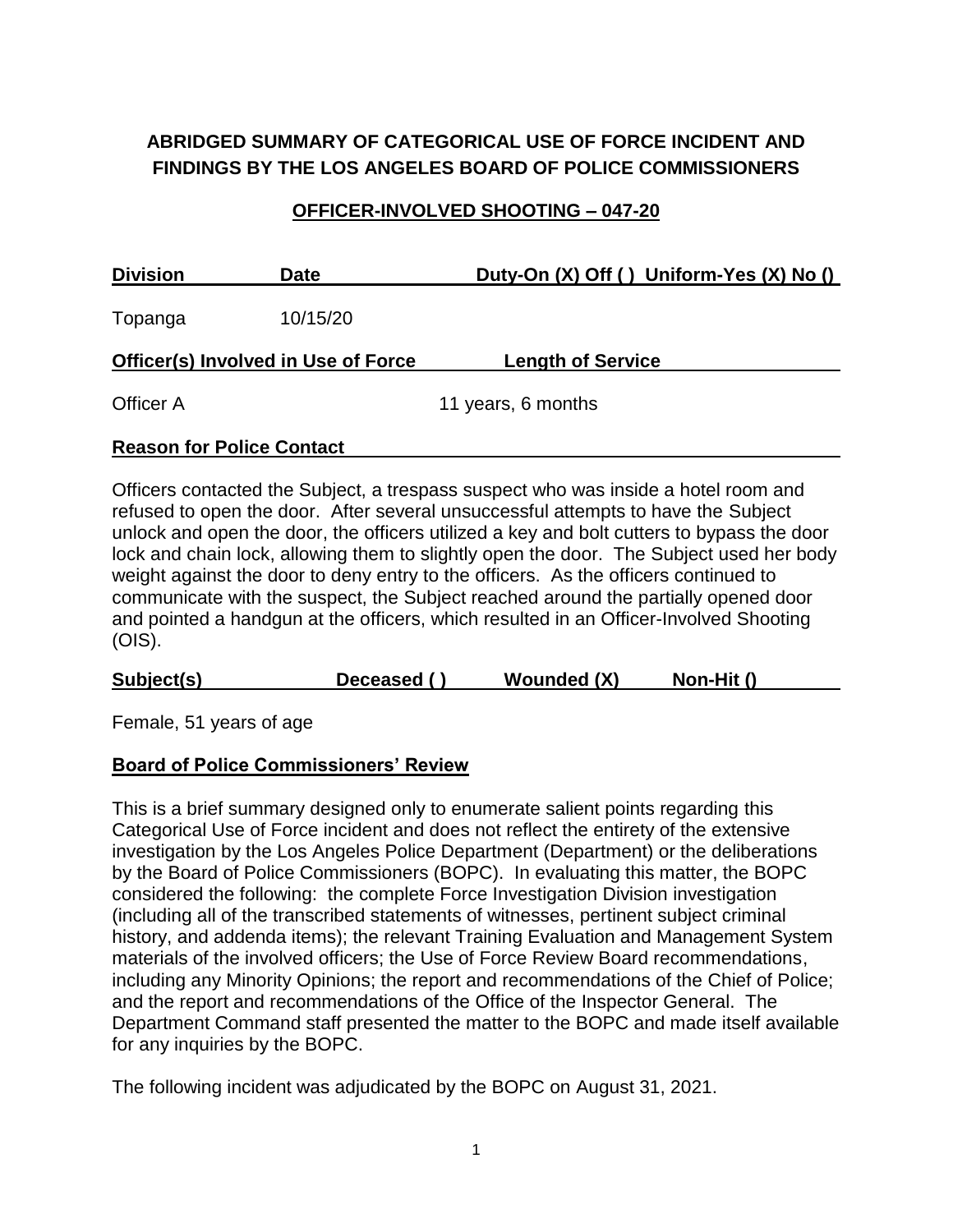# **ABRIDGED SUMMARY OF CATEGORICAL USE OF FORCE INCIDENT AND FINDINGS BY THE LOS ANGELES BOARD OF POLICE COMMISSIONERS**

## **OFFICER-INVOLVED SHOOTING – 047-20**

| <b>Division</b>                            | <b>Date</b> | Duty-On (X) Off () Uniform-Yes (X) No () |  |  |
|--------------------------------------------|-------------|------------------------------------------|--|--|
| Topanga                                    | 10/15/20    |                                          |  |  |
| <b>Officer(s) Involved in Use of Force</b> |             | <b>Length of Service</b>                 |  |  |
| Officer A                                  |             | 11 years, 6 months                       |  |  |
| <b>Reason for Police Contact</b>           |             |                                          |  |  |

Officers contacted the Subject, a trespass suspect who was inside a hotel room and refused to open the door. After several unsuccessful attempts to have the Subject unlock and open the door, the officers utilized a key and bolt cutters to bypass the door

lock and chain lock, allowing them to slightly open the door. The Subject used her body weight against the door to deny entry to the officers. As the officers continued to communicate with the suspect, the Subject reached around the partially opened door and pointed a handgun at the officers, which resulted in an Officer-Involved Shooting (OIS).

| <b>Wounded (X)</b><br>Subject(s)<br>Non-Hit ()<br>Deceased () |  |
|---------------------------------------------------------------|--|
|---------------------------------------------------------------|--|

Female, 51 years of age

#### **Board of Police Commissioners' Review**

This is a brief summary designed only to enumerate salient points regarding this Categorical Use of Force incident and does not reflect the entirety of the extensive investigation by the Los Angeles Police Department (Department) or the deliberations by the Board of Police Commissioners (BOPC). In evaluating this matter, the BOPC considered the following: the complete Force Investigation Division investigation (including all of the transcribed statements of witnesses, pertinent subject criminal history, and addenda items); the relevant Training Evaluation and Management System materials of the involved officers; the Use of Force Review Board recommendations, including any Minority Opinions; the report and recommendations of the Chief of Police; and the report and recommendations of the Office of the Inspector General. The Department Command staff presented the matter to the BOPC and made itself available for any inquiries by the BOPC.

The following incident was adjudicated by the BOPC on August 31, 2021.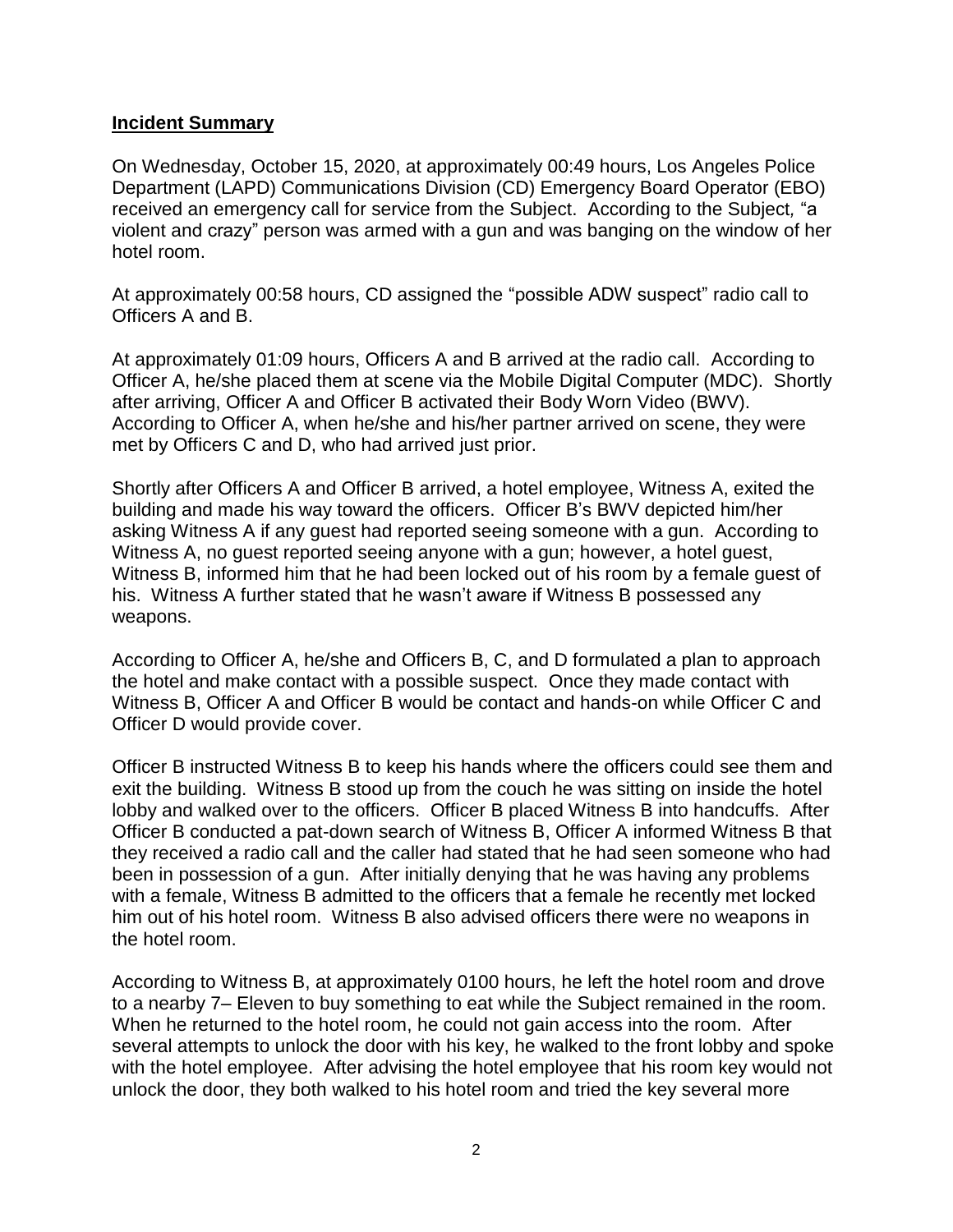#### **Incident Summary**

On Wednesday, October 15, 2020, at approximately 00:49 hours, Los Angeles Police Department (LAPD) Communications Division (CD) Emergency Board Operator (EBO) received an emergency call for service from the Subject. According to the Subject*,* "a violent and crazy" person was armed with a gun and was banging on the window of her hotel room.

At approximately 00:58 hours, CD assigned the "possible ADW suspect" radio call to Officers A and B.

At approximately 01:09 hours, Officers A and B arrived at the radio call. According to Officer A, he/she placed them at scene via the Mobile Digital Computer (MDC). Shortly after arriving, Officer A and Officer B activated their Body Worn Video (BWV). According to Officer A, when he/she and his/her partner arrived on scene, they were met by Officers C and D, who had arrived just prior.

Shortly after Officers A and Officer B arrived, a hotel employee, Witness A, exited the building and made his way toward the officers. Officer B's BWV depicted him/her asking Witness A if any guest had reported seeing someone with a gun. According to Witness A, no guest reported seeing anyone with a gun; however, a hotel guest, Witness B, informed him that he had been locked out of his room by a female guest of his. Witness A further stated that he wasn't aware if Witness B possessed any weapons.

According to Officer A, he/she and Officers B, C, and D formulated a plan to approach the hotel and make contact with a possible suspect. Once they made contact with Witness B, Officer A and Officer B would be contact and hands-on while Officer C and Officer D would provide cover.

Officer B instructed Witness B to keep his hands where the officers could see them and exit the building. Witness B stood up from the couch he was sitting on inside the hotel lobby and walked over to the officers. Officer B placed Witness B into handcuffs. After Officer B conducted a pat-down search of Witness B, Officer A informed Witness B that they received a radio call and the caller had stated that he had seen someone who had been in possession of a gun. After initially denying that he was having any problems with a female, Witness B admitted to the officers that a female he recently met locked him out of his hotel room. Witness B also advised officers there were no weapons in the hotel room.

According to Witness B, at approximately 0100 hours, he left the hotel room and drove to a nearby 7– Eleven to buy something to eat while the Subject remained in the room. When he returned to the hotel room, he could not gain access into the room. After several attempts to unlock the door with his key, he walked to the front lobby and spoke with the hotel employee. After advising the hotel employee that his room key would not unlock the door, they both walked to his hotel room and tried the key several more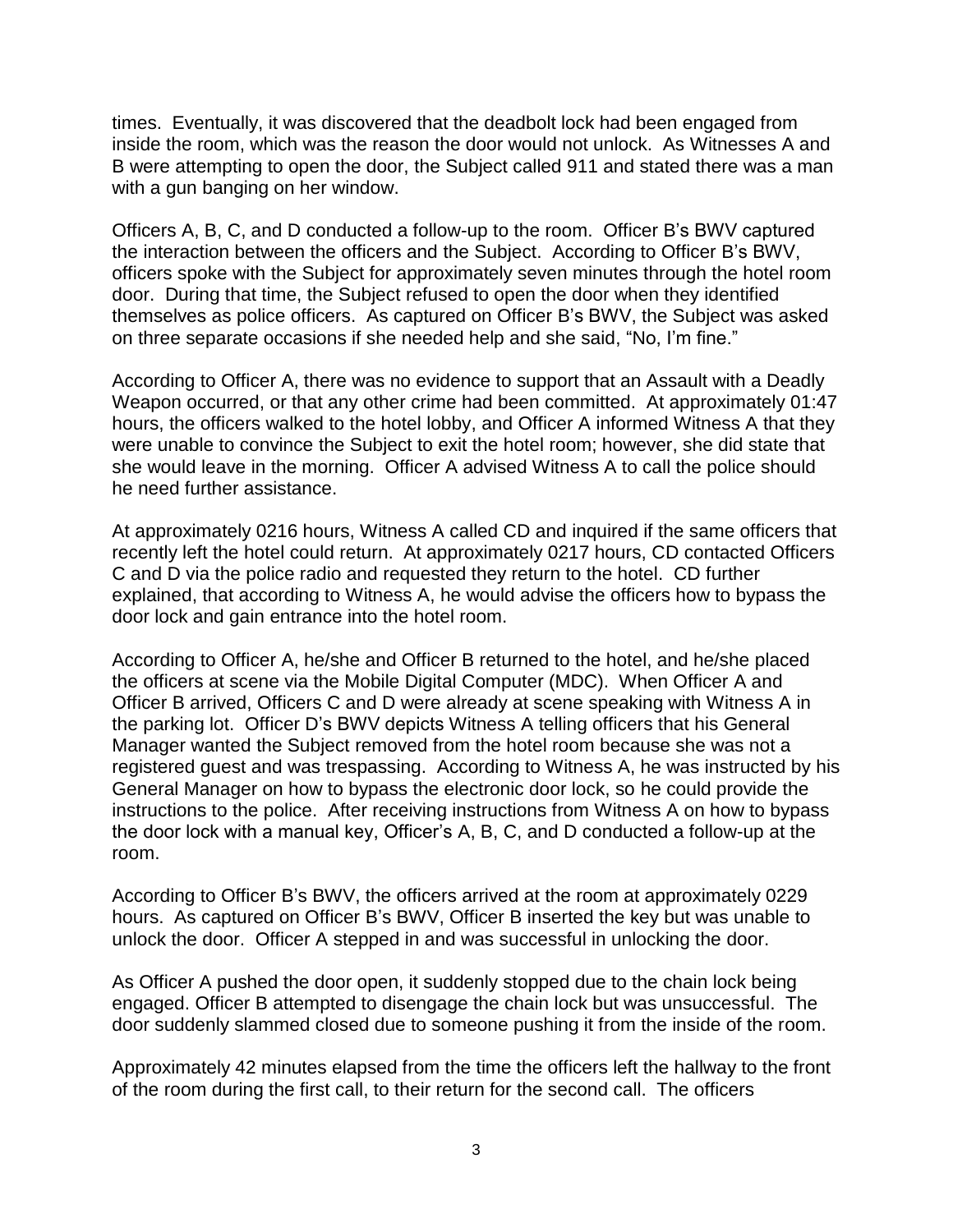times. Eventually, it was discovered that the deadbolt lock had been engaged from inside the room, which was the reason the door would not unlock. As Witnesses A and B were attempting to open the door, the Subject called 911 and stated there was a man with a gun banging on her window.

Officers A, B, C, and D conducted a follow-up to the room. Officer B's BWV captured the interaction between the officers and the Subject. According to Officer B's BWV, officers spoke with the Subject for approximately seven minutes through the hotel room door. During that time, the Subject refused to open the door when they identified themselves as police officers. As captured on Officer B's BWV, the Subject was asked on three separate occasions if she needed help and she said, "No, I'm fine."

According to Officer A, there was no evidence to support that an Assault with a Deadly Weapon occurred, or that any other crime had been committed. At approximately 01:47 hours, the officers walked to the hotel lobby, and Officer A informed Witness A that they were unable to convince the Subject to exit the hotel room; however, she did state that she would leave in the morning. Officer A advised Witness A to call the police should he need further assistance.

At approximately 0216 hours, Witness A called CD and inquired if the same officers that recently left the hotel could return. At approximately 0217 hours, CD contacted Officers C and D via the police radio and requested they return to the hotel. CD further explained, that according to Witness A, he would advise the officers how to bypass the door lock and gain entrance into the hotel room.

According to Officer A, he/she and Officer B returned to the hotel, and he/she placed the officers at scene via the Mobile Digital Computer (MDC). When Officer A and Officer B arrived, Officers C and D were already at scene speaking with Witness A in the parking lot. Officer D's BWV depicts Witness A telling officers that his General Manager wanted the Subject removed from the hotel room because she was not a registered guest and was trespassing. According to Witness A, he was instructed by his General Manager on how to bypass the electronic door lock, so he could provide the instructions to the police. After receiving instructions from Witness A on how to bypass the door lock with a manual key, Officer's A, B, C, and D conducted a follow-up at the room.

According to Officer B's BWV, the officers arrived at the room at approximately 0229 hours. As captured on Officer B's BWV, Officer B inserted the key but was unable to unlock the door. Officer A stepped in and was successful in unlocking the door.

As Officer A pushed the door open, it suddenly stopped due to the chain lock being engaged. Officer B attempted to disengage the chain lock but was unsuccessful. The door suddenly slammed closed due to someone pushing it from the inside of the room.

Approximately 42 minutes elapsed from the time the officers left the hallway to the front of the room during the first call, to their return for the second call. The officers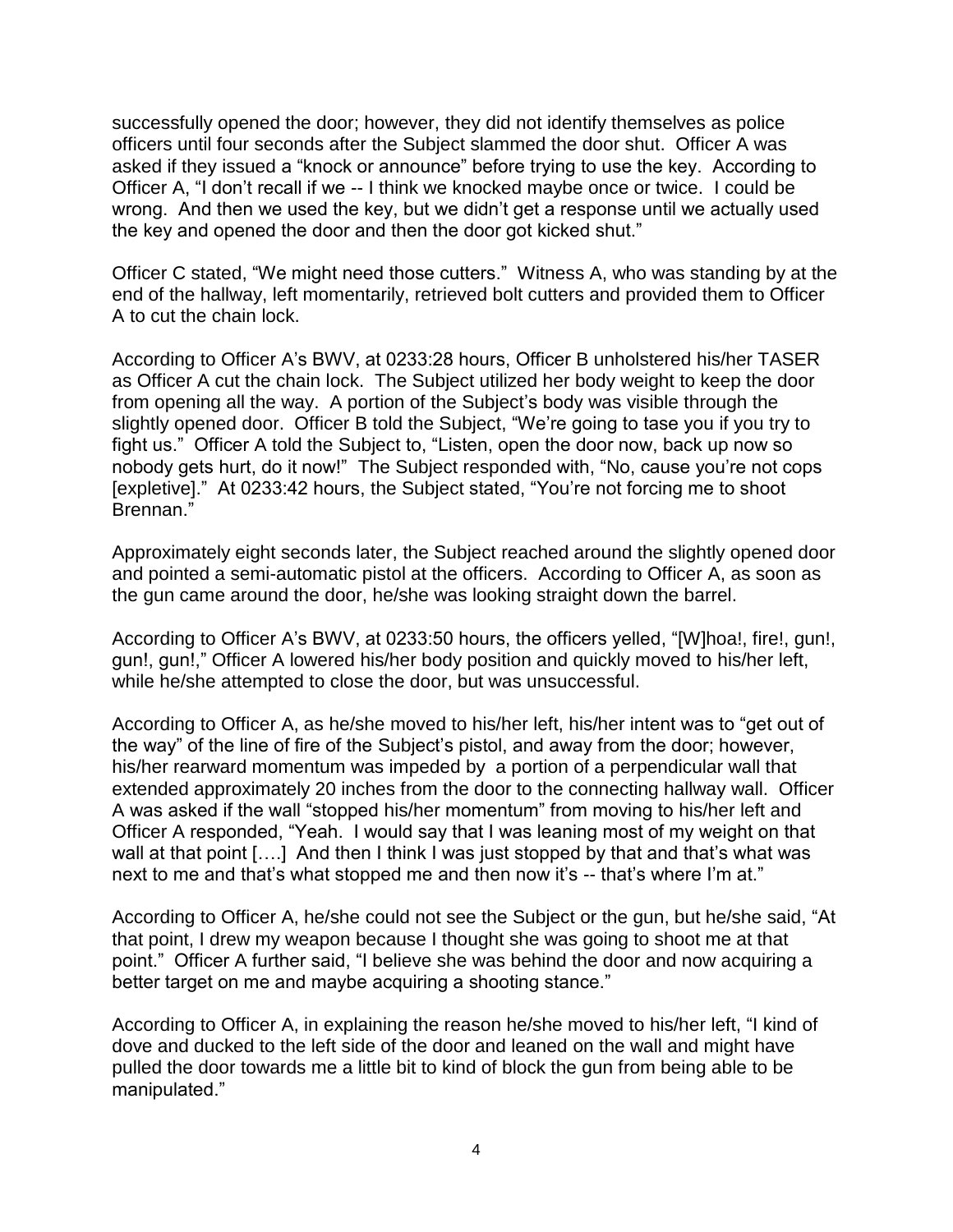successfully opened the door; however, they did not identify themselves as police officers until four seconds after the Subject slammed the door shut. Officer A was asked if they issued a "knock or announce" before trying to use the key. According to Officer A, "I don't recall if we -- I think we knocked maybe once or twice. I could be wrong. And then we used the key, but we didn't get a response until we actually used the key and opened the door and then the door got kicked shut."

Officer C stated, "We might need those cutters." Witness A, who was standing by at the end of the hallway, left momentarily, retrieved bolt cutters and provided them to Officer A to cut the chain lock.

According to Officer A's BWV, at 0233:28 hours, Officer B unholstered his/her TASER as Officer A cut the chain lock. The Subject utilized her body weight to keep the door from opening all the way. A portion of the Subject's body was visible through the slightly opened door. Officer B told the Subject, "We're going to tase you if you try to fight us." Officer A told the Subject to, "Listen, open the door now, back up now so nobody gets hurt, do it now!" The Subject responded with, "No, cause you're not cops [expletive]." At 0233:42 hours, the Subject stated, "You're not forcing me to shoot Brennan."

Approximately eight seconds later, the Subject reached around the slightly opened door and pointed a semi-automatic pistol at the officers. According to Officer A, as soon as the gun came around the door, he/she was looking straight down the barrel.

According to Officer A's BWV, at 0233:50 hours, the officers yelled, "[W]hoa!, fire!, gun!, gun!, gun!," Officer A lowered his/her body position and quickly moved to his/her left, while he/she attempted to close the door, but was unsuccessful.

According to Officer A, as he/she moved to his/her left, his/her intent was to "get out of the way" of the line of fire of the Subject's pistol, and away from the door; however, his/her rearward momentum was impeded by a portion of a perpendicular wall that extended approximately 20 inches from the door to the connecting hallway wall. Officer A was asked if the wall "stopped his/her momentum" from moving to his/her left and Officer A responded, "Yeah. I would say that I was leaning most of my weight on that wall at that point [....] And then I think I was just stopped by that and that's what was next to me and that's what stopped me and then now it's -- that's where I'm at."

According to Officer A, he/she could not see the Subject or the gun, but he/she said, "At that point, I drew my weapon because I thought she was going to shoot me at that point." Officer A further said, "I believe she was behind the door and now acquiring a better target on me and maybe acquiring a shooting stance."

According to Officer A, in explaining the reason he/she moved to his/her left, "I kind of dove and ducked to the left side of the door and leaned on the wall and might have pulled the door towards me a little bit to kind of block the gun from being able to be manipulated."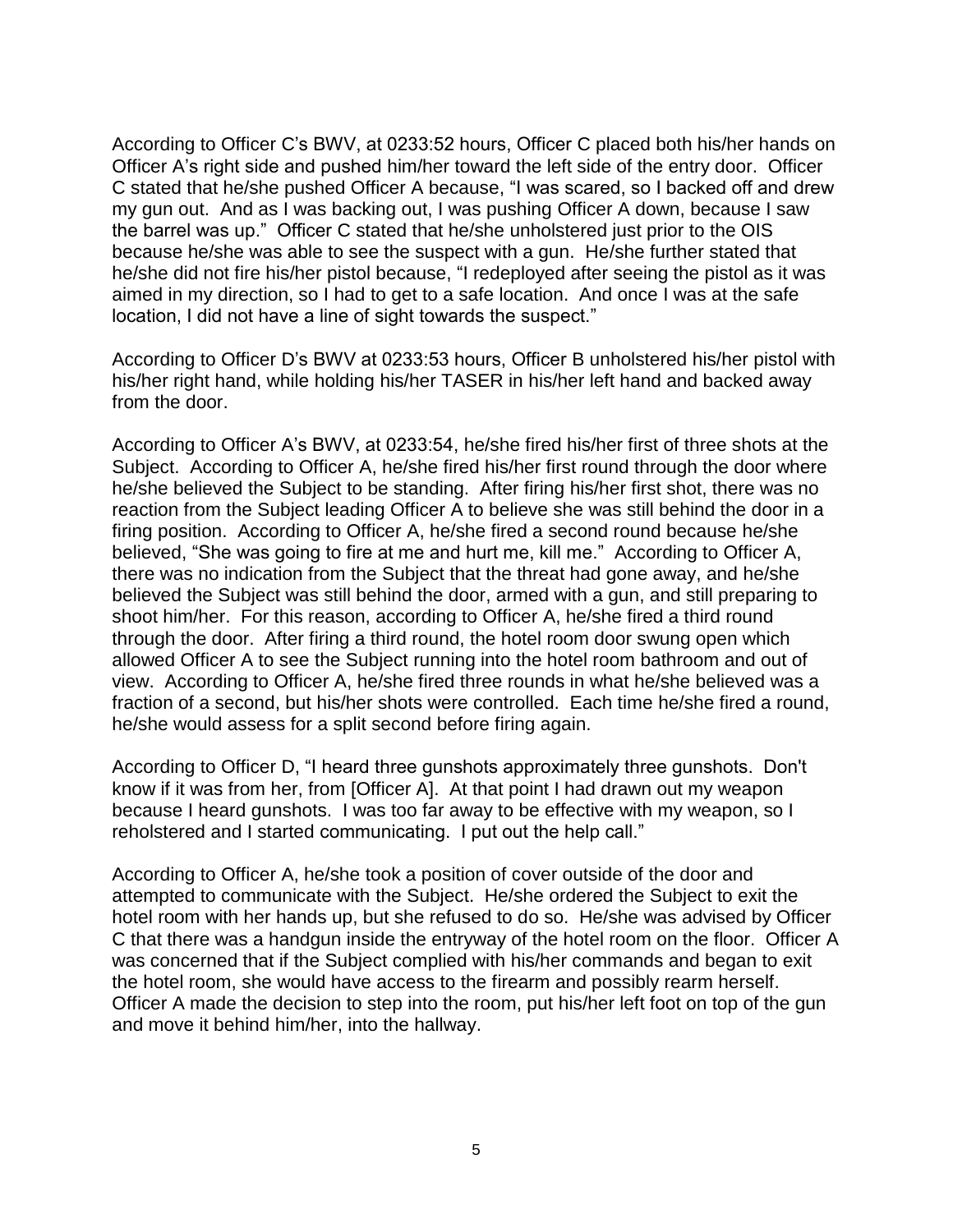According to Officer C's BWV, at 0233:52 hours, Officer C placed both his/her hands on Officer A's right side and pushed him/her toward the left side of the entry door. Officer C stated that he/she pushed Officer A because, "I was scared, so I backed off and drew my gun out. And as I was backing out, I was pushing Officer A down, because I saw the barrel was up." Officer C stated that he/she unholstered just prior to the OIS because he/she was able to see the suspect with a gun. He/she further stated that he/she did not fire his/her pistol because, "I redeployed after seeing the pistol as it was aimed in my direction, so I had to get to a safe location. And once I was at the safe location, I did not have a line of sight towards the suspect."

According to Officer D's BWV at 0233:53 hours, Officer B unholstered his/her pistol with his/her right hand, while holding his/her TASER in his/her left hand and backed away from the door.

According to Officer A's BWV, at 0233:54, he/she fired his/her first of three shots at the Subject. According to Officer A, he/she fired his/her first round through the door where he/she believed the Subject to be standing. After firing his/her first shot, there was no reaction from the Subject leading Officer A to believe she was still behind the door in a firing position. According to Officer A, he/she fired a second round because he/she believed, "She was going to fire at me and hurt me, kill me." According to Officer A, there was no indication from the Subject that the threat had gone away, and he/she believed the Subject was still behind the door, armed with a gun, and still preparing to shoot him/her. For this reason, according to Officer A, he/she fired a third round through the door. After firing a third round, the hotel room door swung open which allowed Officer A to see the Subject running into the hotel room bathroom and out of view. According to Officer A, he/she fired three rounds in what he/she believed was a fraction of a second, but his/her shots were controlled. Each time he/she fired a round, he/she would assess for a split second before firing again.

According to Officer D, "I heard three gunshots approximately three gunshots. Don't know if it was from her, from [Officer A]. At that point I had drawn out my weapon because I heard gunshots. I was too far away to be effective with my weapon, so I reholstered and I started communicating. I put out the help call."

According to Officer A, he/she took a position of cover outside of the door and attempted to communicate with the Subject. He/she ordered the Subject to exit the hotel room with her hands up, but she refused to do so. He/she was advised by Officer C that there was a handgun inside the entryway of the hotel room on the floor. Officer A was concerned that if the Subject complied with his/her commands and began to exit the hotel room, she would have access to the firearm and possibly rearm herself. Officer A made the decision to step into the room, put his/her left foot on top of the gun and move it behind him/her, into the hallway.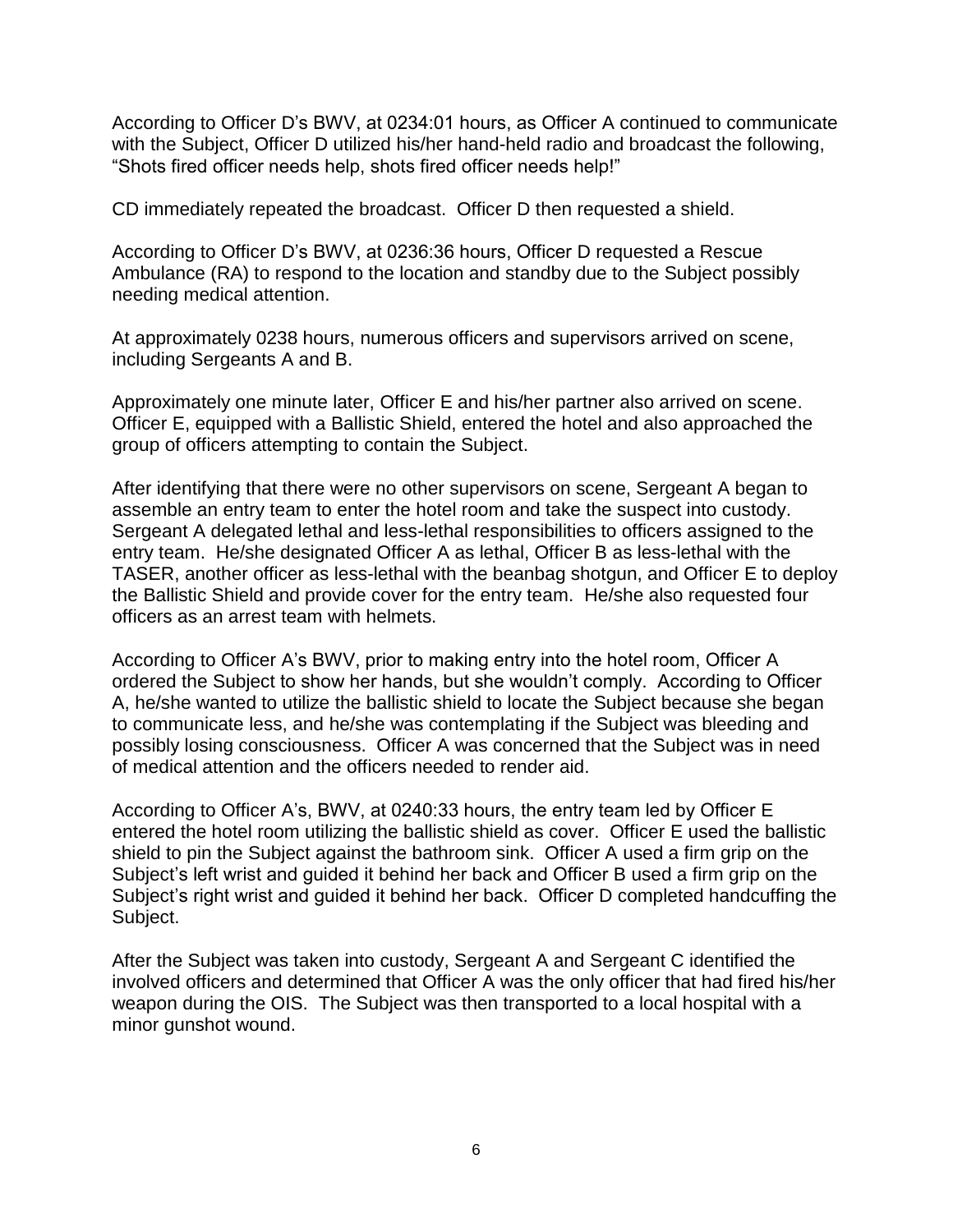According to Officer D's BWV, at 0234:01 hours, as Officer A continued to communicate with the Subject, Officer D utilized his/her hand-held radio and broadcast the following, "Shots fired officer needs help, shots fired officer needs help!"

CD immediately repeated the broadcast. Officer D then requested a shield.

According to Officer D's BWV, at 0236:36 hours, Officer D requested a Rescue Ambulance (RA) to respond to the location and standby due to the Subject possibly needing medical attention.

At approximately 0238 hours, numerous officers and supervisors arrived on scene, including Sergeants A and B.

Approximately one minute later, Officer E and his/her partner also arrived on scene. Officer E, equipped with a Ballistic Shield, entered the hotel and also approached the group of officers attempting to contain the Subject.

After identifying that there were no other supervisors on scene, Sergeant A began to assemble an entry team to enter the hotel room and take the suspect into custody. Sergeant A delegated lethal and less-lethal responsibilities to officers assigned to the entry team. He/she designated Officer A as lethal, Officer B as less-lethal with the TASER, another officer as less-lethal with the beanbag shotgun, and Officer E to deploy the Ballistic Shield and provide cover for the entry team. He/she also requested four officers as an arrest team with helmets.

According to Officer A's BWV, prior to making entry into the hotel room, Officer A ordered the Subject to show her hands, but she wouldn't comply. According to Officer A, he/she wanted to utilize the ballistic shield to locate the Subject because she began to communicate less, and he/she was contemplating if the Subject was bleeding and possibly losing consciousness. Officer A was concerned that the Subject was in need of medical attention and the officers needed to render aid.

According to Officer A's, BWV, at 0240:33 hours, the entry team led by Officer E entered the hotel room utilizing the ballistic shield as cover. Officer E used the ballistic shield to pin the Subject against the bathroom sink. Officer A used a firm grip on the Subject's left wrist and guided it behind her back and Officer B used a firm grip on the Subject's right wrist and guided it behind her back. Officer D completed handcuffing the Subject.

After the Subject was taken into custody, Sergeant A and Sergeant C identified the involved officers and determined that Officer A was the only officer that had fired his/her weapon during the OIS. The Subject was then transported to a local hospital with a minor gunshot wound.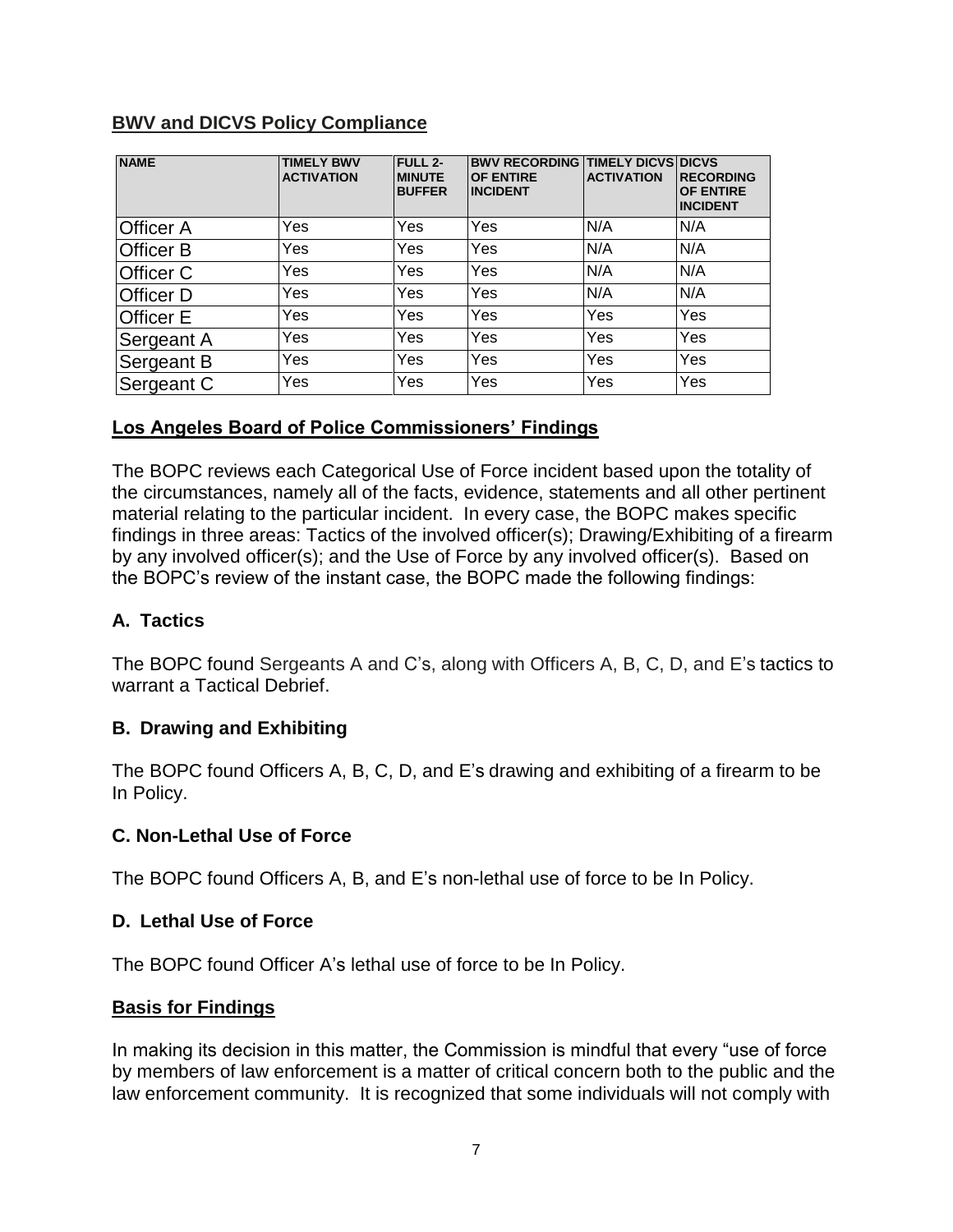## **BWV and DICVS Policy Compliance**

| <b>NAME</b>      | <b>TIMELY BWV</b><br><b>ACTIVATION</b> | <b>FULL 2-</b><br><b>MINUTE</b><br><b>BUFFER</b> | <b>BWV RECORDING TIMELY DICVS DICVS</b><br><b>OF ENTIRE</b><br><b>INCIDENT</b> | <b>ACTIVATION</b> | <b>RECORDING</b><br><b>OF ENTIRE</b><br><b>INCIDENT</b> |
|------------------|----------------------------------------|--------------------------------------------------|--------------------------------------------------------------------------------|-------------------|---------------------------------------------------------|
| Officer A        | Yes                                    | Yes                                              | Yes                                                                            | N/A               | N/A                                                     |
| <b>Officer B</b> | Yes                                    | Yes                                              | Yes                                                                            | N/A               | N/A                                                     |
| Officer C        | Yes                                    | Yes                                              | Yes                                                                            | N/A               | N/A                                                     |
| <b>Officer D</b> | Yes                                    | Yes                                              | Yes                                                                            | N/A               | N/A                                                     |
| Officer E        | Yes                                    | Yes                                              | Yes                                                                            | Yes               | Yes                                                     |
| Sergeant A       | Yes                                    | Yes                                              | Yes                                                                            | Yes               | Yes                                                     |
| Sergeant B       | Yes                                    | Yes                                              | Yes                                                                            | Yes               | Yes                                                     |
| Sergeant C       | Yes                                    | Yes                                              | Yes                                                                            | Yes               | Yes                                                     |

## **Los Angeles Board of Police Commissioners' Findings**

The BOPC reviews each Categorical Use of Force incident based upon the totality of the circumstances, namely all of the facts, evidence, statements and all other pertinent material relating to the particular incident. In every case, the BOPC makes specific findings in three areas: Tactics of the involved officer(s); Drawing/Exhibiting of a firearm by any involved officer(s); and the Use of Force by any involved officer(s). Based on the BOPC's review of the instant case, the BOPC made the following findings:

## **A. Tactics**

The BOPC found Sergeants A and C's, along with Officers A, B, C, D, and E's tactics to warrant a Tactical Debrief.

## **B. Drawing and Exhibiting**

The BOPC found Officers A, B, C, D, and E's drawing and exhibiting of a firearm to be In Policy.

#### **C. Non-Lethal Use of Force**

The BOPC found Officers A, B, and E's non-lethal use of force to be In Policy.

#### **D. Lethal Use of Force**

The BOPC found Officer A's lethal use of force to be In Policy.

#### **Basis for Findings**

In making its decision in this matter, the Commission is mindful that every "use of force by members of law enforcement is a matter of critical concern both to the public and the law enforcement community. It is recognized that some individuals will not comply with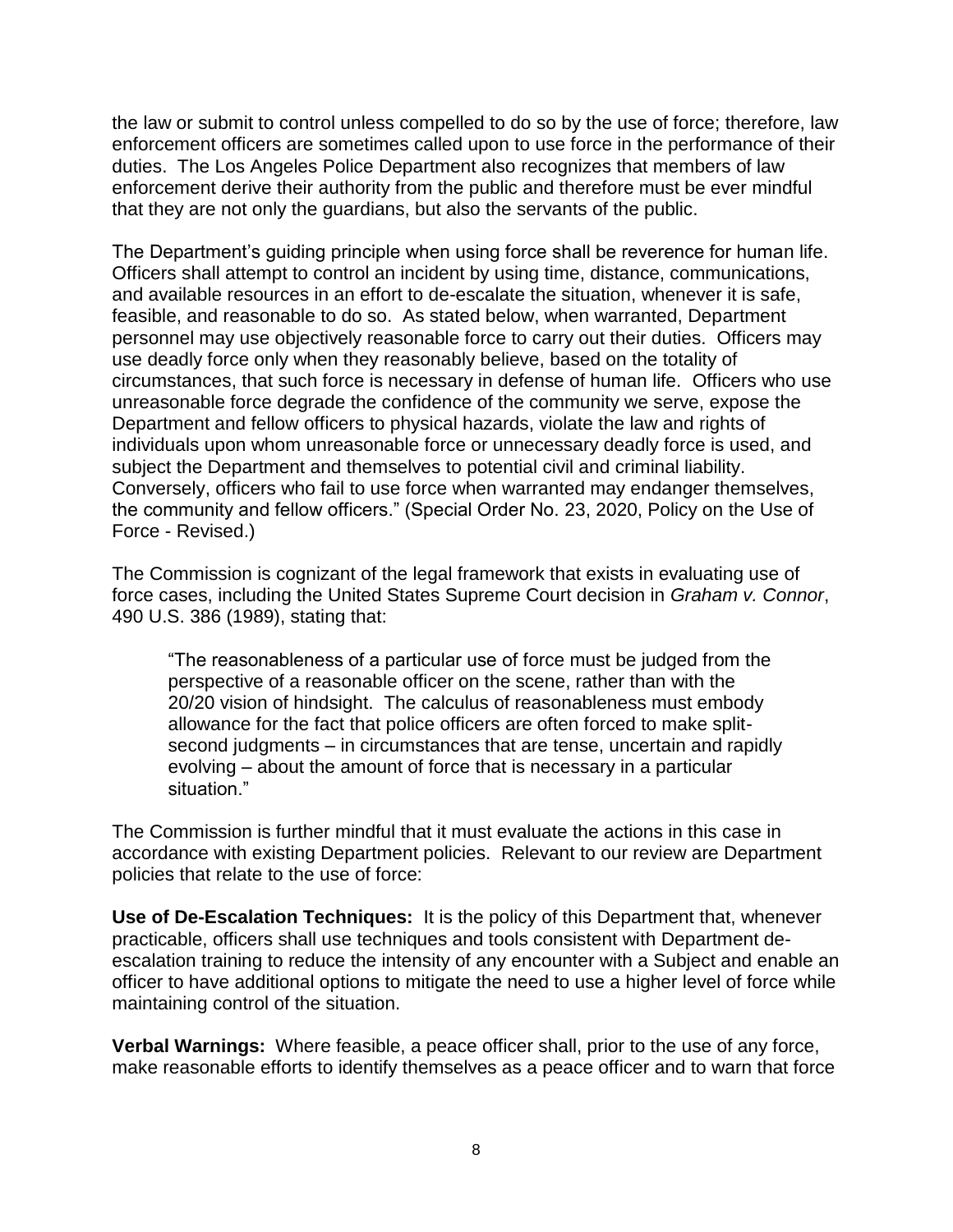the law or submit to control unless compelled to do so by the use of force; therefore, law enforcement officers are sometimes called upon to use force in the performance of their duties. The Los Angeles Police Department also recognizes that members of law enforcement derive their authority from the public and therefore must be ever mindful that they are not only the guardians, but also the servants of the public.

The Department's guiding principle when using force shall be reverence for human life. Officers shall attempt to control an incident by using time, distance, communications, and available resources in an effort to de-escalate the situation, whenever it is safe, feasible, and reasonable to do so. As stated below, when warranted, Department personnel may use objectively reasonable force to carry out their duties. Officers may use deadly force only when they reasonably believe, based on the totality of circumstances, that such force is necessary in defense of human life. Officers who use unreasonable force degrade the confidence of the community we serve, expose the Department and fellow officers to physical hazards, violate the law and rights of individuals upon whom unreasonable force or unnecessary deadly force is used, and subject the Department and themselves to potential civil and criminal liability. Conversely, officers who fail to use force when warranted may endanger themselves, the community and fellow officers." (Special Order No. 23, 2020, Policy on the Use of Force - Revised.)

The Commission is cognizant of the legal framework that exists in evaluating use of force cases, including the United States Supreme Court decision in *Graham v. Connor*, 490 U.S. 386 (1989), stating that:

"The reasonableness of a particular use of force must be judged from the perspective of a reasonable officer on the scene, rather than with the 20/20 vision of hindsight. The calculus of reasonableness must embody allowance for the fact that police officers are often forced to make splitsecond judgments – in circumstances that are tense, uncertain and rapidly evolving – about the amount of force that is necessary in a particular situation."

The Commission is further mindful that it must evaluate the actions in this case in accordance with existing Department policies. Relevant to our review are Department policies that relate to the use of force:

**Use of De-Escalation Techniques:** It is the policy of this Department that, whenever practicable, officers shall use techniques and tools consistent with Department deescalation training to reduce the intensity of any encounter with a Subject and enable an officer to have additional options to mitigate the need to use a higher level of force while maintaining control of the situation.

**Verbal Warnings:** Where feasible, a peace officer shall, prior to the use of any force, make reasonable efforts to identify themselves as a peace officer and to warn that force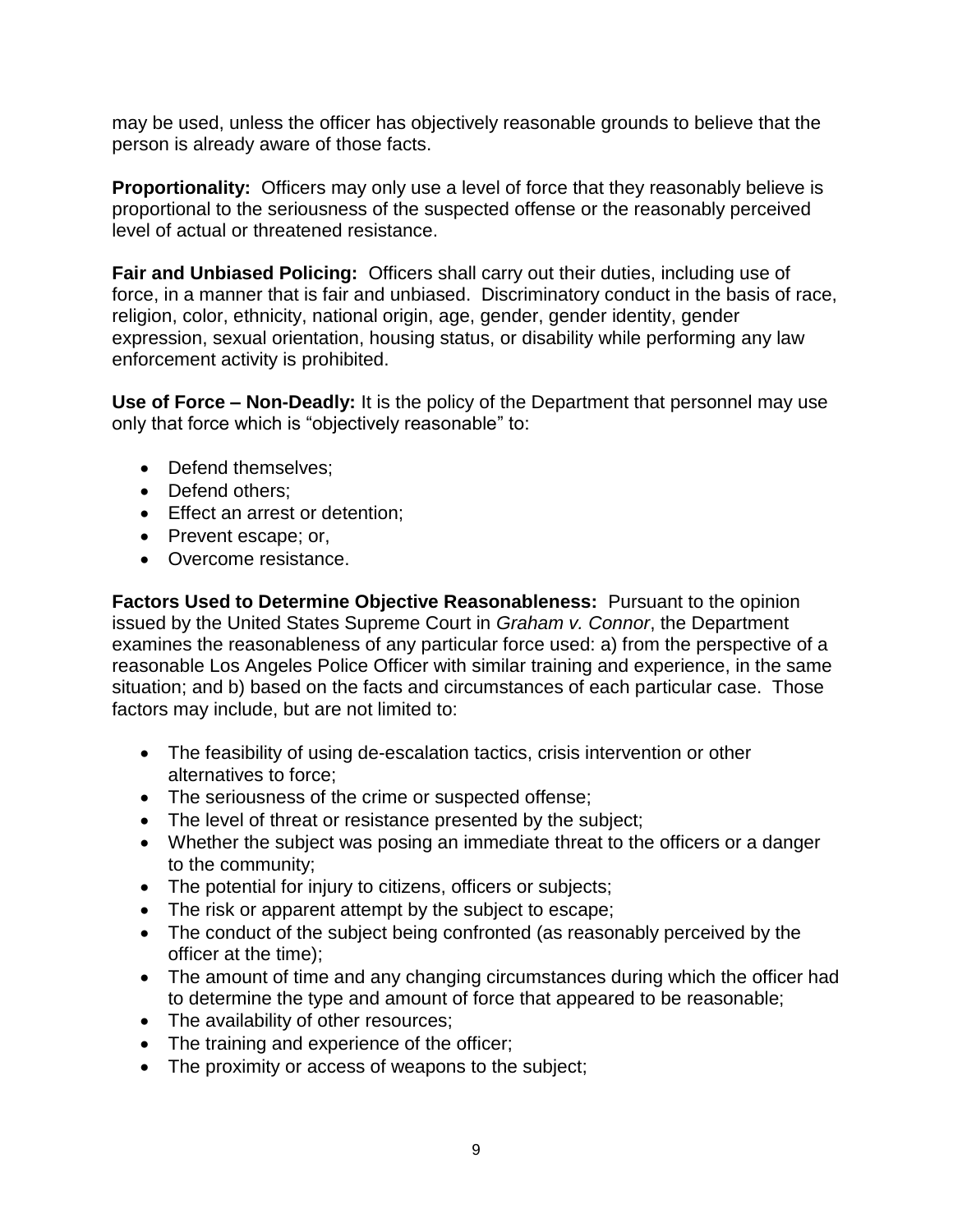may be used, unless the officer has objectively reasonable grounds to believe that the person is already aware of those facts.

**Proportionality:** Officers may only use a level of force that they reasonably believe is proportional to the seriousness of the suspected offense or the reasonably perceived level of actual or threatened resistance.

**Fair and Unbiased Policing:** Officers shall carry out their duties, including use of force, in a manner that is fair and unbiased. Discriminatory conduct in the basis of race, religion, color, ethnicity, national origin, age, gender, gender identity, gender expression, sexual orientation, housing status, or disability while performing any law enforcement activity is prohibited.

**Use of Force – Non-Deadly:** It is the policy of the Department that personnel may use only that force which is "objectively reasonable" to:

- Defend themselves;
- Defend others;
- Effect an arrest or detention;
- Prevent escape; or,
- Overcome resistance.

**Factors Used to Determine Objective Reasonableness:** Pursuant to the opinion issued by the United States Supreme Court in *Graham v. Connor*, the Department examines the reasonableness of any particular force used: a) from the perspective of a reasonable Los Angeles Police Officer with similar training and experience, in the same situation; and b) based on the facts and circumstances of each particular case. Those factors may include, but are not limited to:

- The feasibility of using de-escalation tactics, crisis intervention or other alternatives to force;
- The seriousness of the crime or suspected offense;
- The level of threat or resistance presented by the subject;
- Whether the subject was posing an immediate threat to the officers or a danger to the community;
- The potential for injury to citizens, officers or subjects;
- The risk or apparent attempt by the subject to escape;
- The conduct of the subject being confronted (as reasonably perceived by the officer at the time);
- The amount of time and any changing circumstances during which the officer had to determine the type and amount of force that appeared to be reasonable;
- The availability of other resources;
- The training and experience of the officer;
- The proximity or access of weapons to the subject;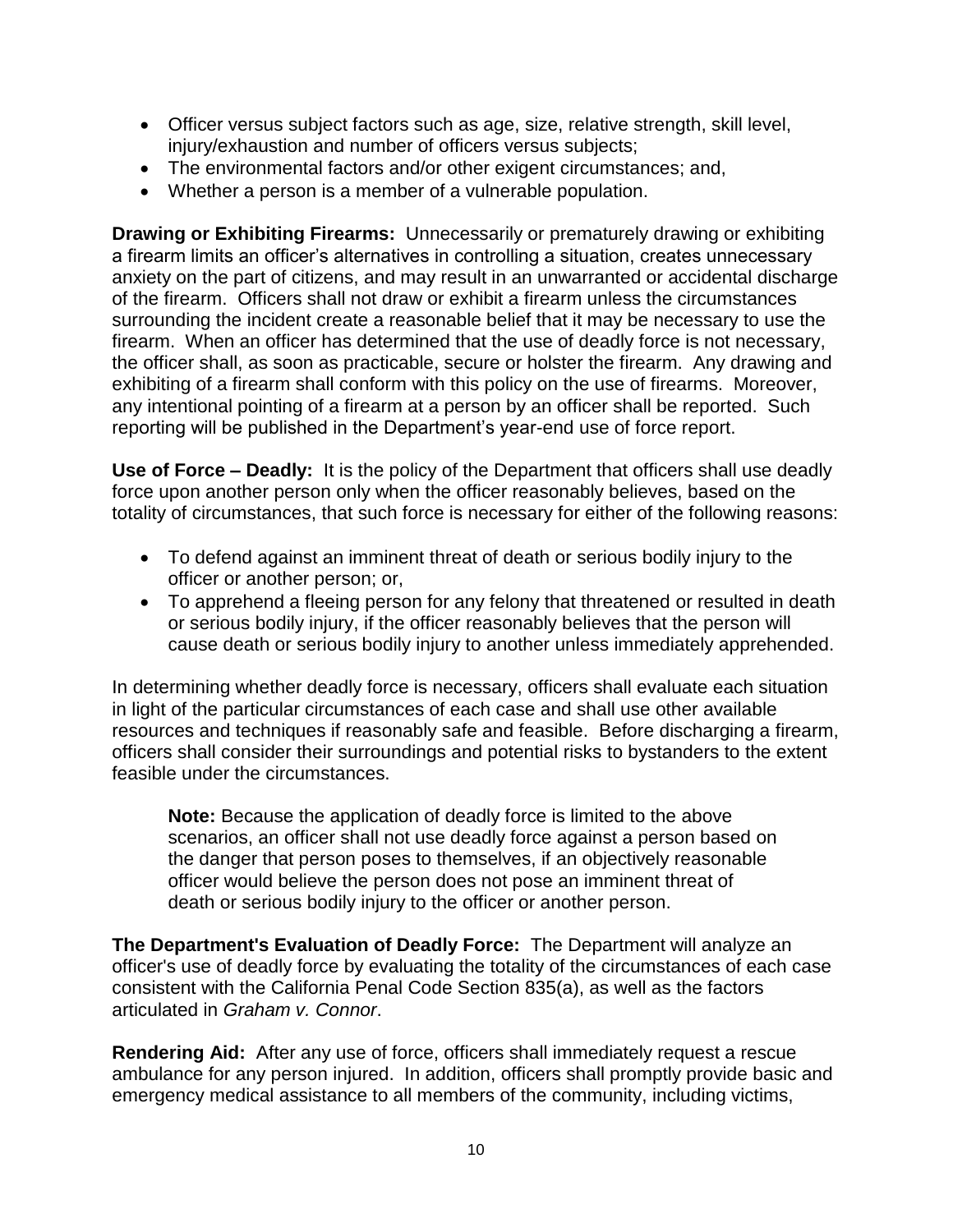- Officer versus subject factors such as age, size, relative strength, skill level, injury/exhaustion and number of officers versus subjects;
- The environmental factors and/or other exigent circumstances; and,
- Whether a person is a member of a vulnerable population.

**Drawing or Exhibiting Firearms:** Unnecessarily or prematurely drawing or exhibiting a firearm limits an officer's alternatives in controlling a situation, creates unnecessary anxiety on the part of citizens, and may result in an unwarranted or accidental discharge of the firearm. Officers shall not draw or exhibit a firearm unless the circumstances surrounding the incident create a reasonable belief that it may be necessary to use the firearm. When an officer has determined that the use of deadly force is not necessary, the officer shall, as soon as practicable, secure or holster the firearm. Any drawing and exhibiting of a firearm shall conform with this policy on the use of firearms. Moreover, any intentional pointing of a firearm at a person by an officer shall be reported. Such reporting will be published in the Department's year-end use of force report.

**Use of Force – Deadly:** It is the policy of the Department that officers shall use deadly force upon another person only when the officer reasonably believes, based on the totality of circumstances, that such force is necessary for either of the following reasons:

- To defend against an imminent threat of death or serious bodily injury to the officer or another person; or,
- To apprehend a fleeing person for any felony that threatened or resulted in death or serious bodily injury, if the officer reasonably believes that the person will cause death or serious bodily injury to another unless immediately apprehended.

In determining whether deadly force is necessary, officers shall evaluate each situation in light of the particular circumstances of each case and shall use other available resources and techniques if reasonably safe and feasible. Before discharging a firearm, officers shall consider their surroundings and potential risks to bystanders to the extent feasible under the circumstances.

**Note:** Because the application of deadly force is limited to the above scenarios, an officer shall not use deadly force against a person based on the danger that person poses to themselves, if an objectively reasonable officer would believe the person does not pose an imminent threat of death or serious bodily injury to the officer or another person.

**The Department's Evaluation of Deadly Force:** The Department will analyze an officer's use of deadly force by evaluating the totality of the circumstances of each case consistent with the California Penal Code Section 835(a), as well as the factors articulated in *Graham v. Connor*.

**Rendering Aid:** After any use of force, officers shall immediately request a rescue ambulance for any person injured. In addition, officers shall promptly provide basic and emergency medical assistance to all members of the community, including victims,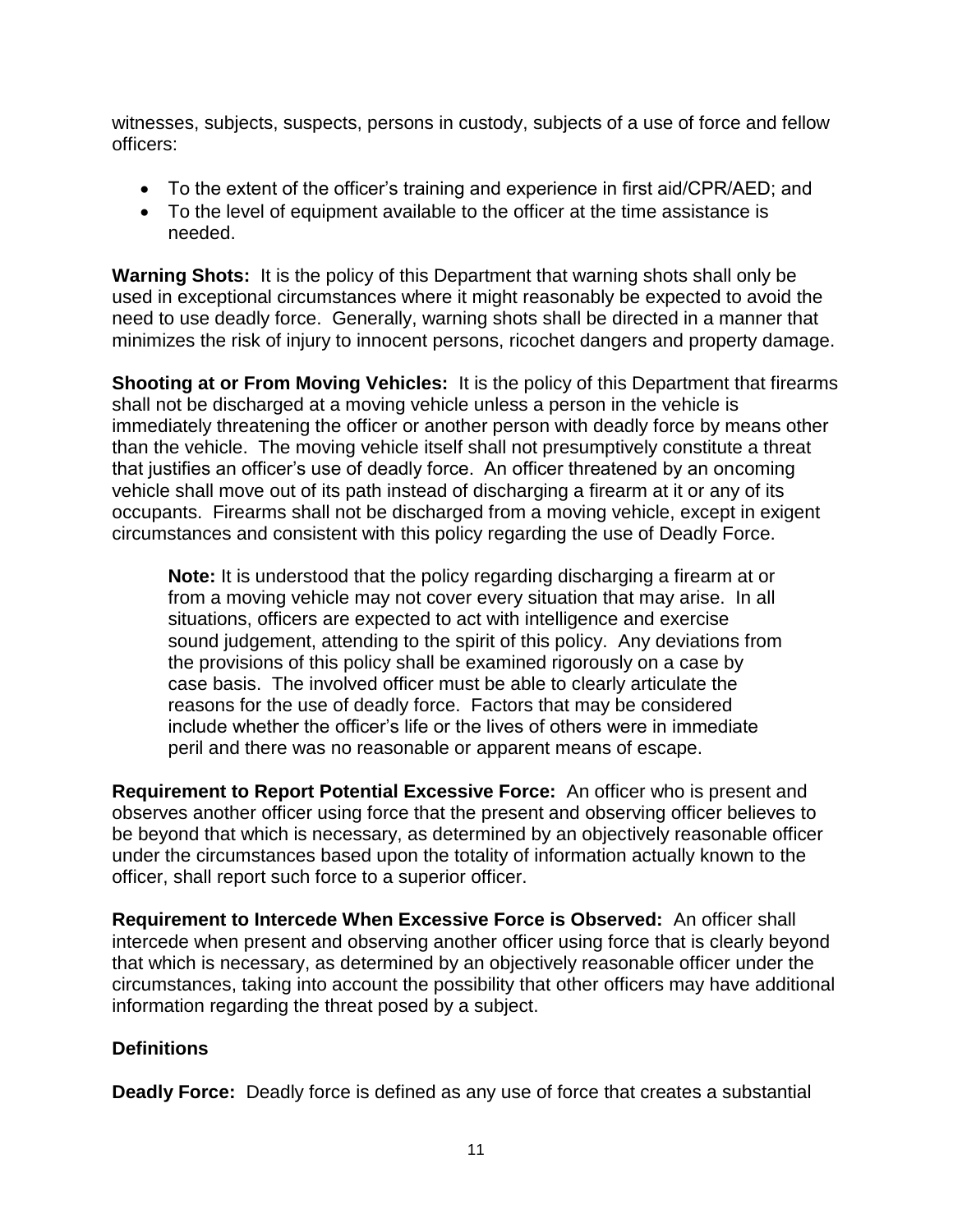witnesses, subjects, suspects, persons in custody, subjects of a use of force and fellow officers:

- To the extent of the officer's training and experience in first aid/CPR/AED; and
- To the level of equipment available to the officer at the time assistance is needed.

**Warning Shots:** It is the policy of this Department that warning shots shall only be used in exceptional circumstances where it might reasonably be expected to avoid the need to use deadly force. Generally, warning shots shall be directed in a manner that minimizes the risk of injury to innocent persons, ricochet dangers and property damage.

**Shooting at or From Moving Vehicles:** It is the policy of this Department that firearms shall not be discharged at a moving vehicle unless a person in the vehicle is immediately threatening the officer or another person with deadly force by means other than the vehicle. The moving vehicle itself shall not presumptively constitute a threat that justifies an officer's use of deadly force. An officer threatened by an oncoming vehicle shall move out of its path instead of discharging a firearm at it or any of its occupants. Firearms shall not be discharged from a moving vehicle, except in exigent circumstances and consistent with this policy regarding the use of Deadly Force.

**Note:** It is understood that the policy regarding discharging a firearm at or from a moving vehicle may not cover every situation that may arise. In all situations, officers are expected to act with intelligence and exercise sound judgement, attending to the spirit of this policy. Any deviations from the provisions of this policy shall be examined rigorously on a case by case basis. The involved officer must be able to clearly articulate the reasons for the use of deadly force. Factors that may be considered include whether the officer's life or the lives of others were in immediate peril and there was no reasonable or apparent means of escape.

**Requirement to Report Potential Excessive Force:** An officer who is present and observes another officer using force that the present and observing officer believes to be beyond that which is necessary, as determined by an objectively reasonable officer under the circumstances based upon the totality of information actually known to the officer, shall report such force to a superior officer.

**Requirement to Intercede When Excessive Force is Observed:** An officer shall intercede when present and observing another officer using force that is clearly beyond that which is necessary, as determined by an objectively reasonable officer under the circumstances, taking into account the possibility that other officers may have additional information regarding the threat posed by a subject.

## **Definitions**

**Deadly Force:** Deadly force is defined as any use of force that creates a substantial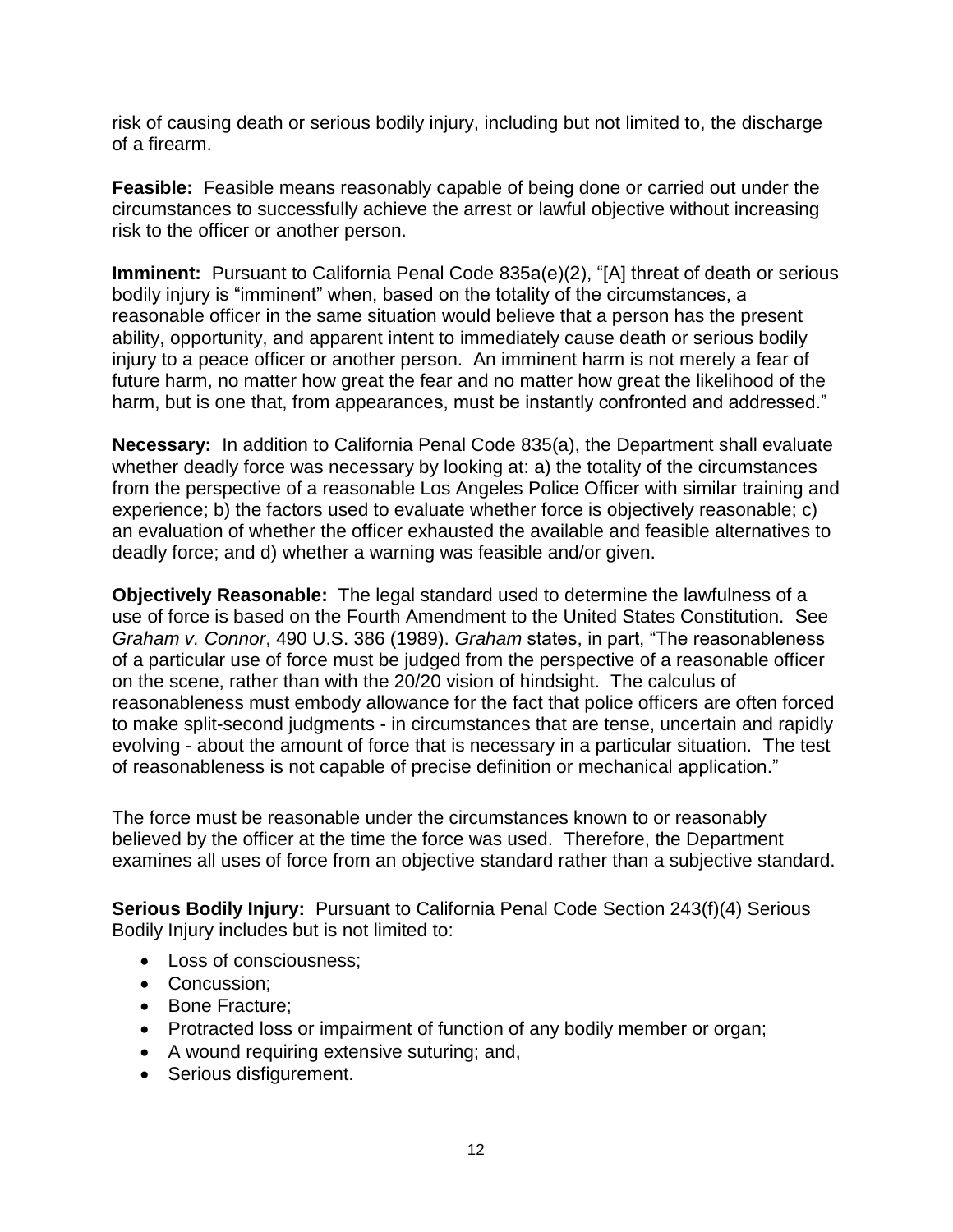risk of causing death or serious bodily injury, including but not limited to, the discharge of a firearm.

**Feasible:** Feasible means reasonably capable of being done or carried out under the circumstances to successfully achieve the arrest or lawful objective without increasing risk to the officer or another person.

**Imminent:** Pursuant to California Penal Code 835a(e)(2), "[A] threat of death or serious bodily injury is "imminent" when, based on the totality of the circumstances, a reasonable officer in the same situation would believe that a person has the present ability, opportunity, and apparent intent to immediately cause death or serious bodily injury to a peace officer or another person. An imminent harm is not merely a fear of future harm, no matter how great the fear and no matter how great the likelihood of the harm, but is one that, from appearances, must be instantly confronted and addressed."

**Necessary:** In addition to California Penal Code 835(a), the Department shall evaluate whether deadly force was necessary by looking at: a) the totality of the circumstances from the perspective of a reasonable Los Angeles Police Officer with similar training and experience; b) the factors used to evaluate whether force is objectively reasonable; c) an evaluation of whether the officer exhausted the available and feasible alternatives to deadly force; and d) whether a warning was feasible and/or given.

**Objectively Reasonable:** The legal standard used to determine the lawfulness of a use of force is based on the Fourth Amendment to the United States Constitution. See *Graham v. Connor*, 490 U.S. 386 (1989). *Graham* states, in part, "The reasonableness of a particular use of force must be judged from the perspective of a reasonable officer on the scene, rather than with the 20/20 vision of hindsight. The calculus of reasonableness must embody allowance for the fact that police officers are often forced to make split-second judgments - in circumstances that are tense, uncertain and rapidly evolving - about the amount of force that is necessary in a particular situation. The test of reasonableness is not capable of precise definition or mechanical application."

The force must be reasonable under the circumstances known to or reasonably believed by the officer at the time the force was used. Therefore, the Department examines all uses of force from an objective standard rather than a subjective standard.

**Serious Bodily Injury:** Pursuant to California Penal Code Section 243(f)(4) Serious Bodily Injury includes but is not limited to:

- Loss of consciousness;
- Concussion;
- Bone Fracture;
- Protracted loss or impairment of function of any bodily member or organ;
- A wound requiring extensive suturing; and,
- Serious disfigurement.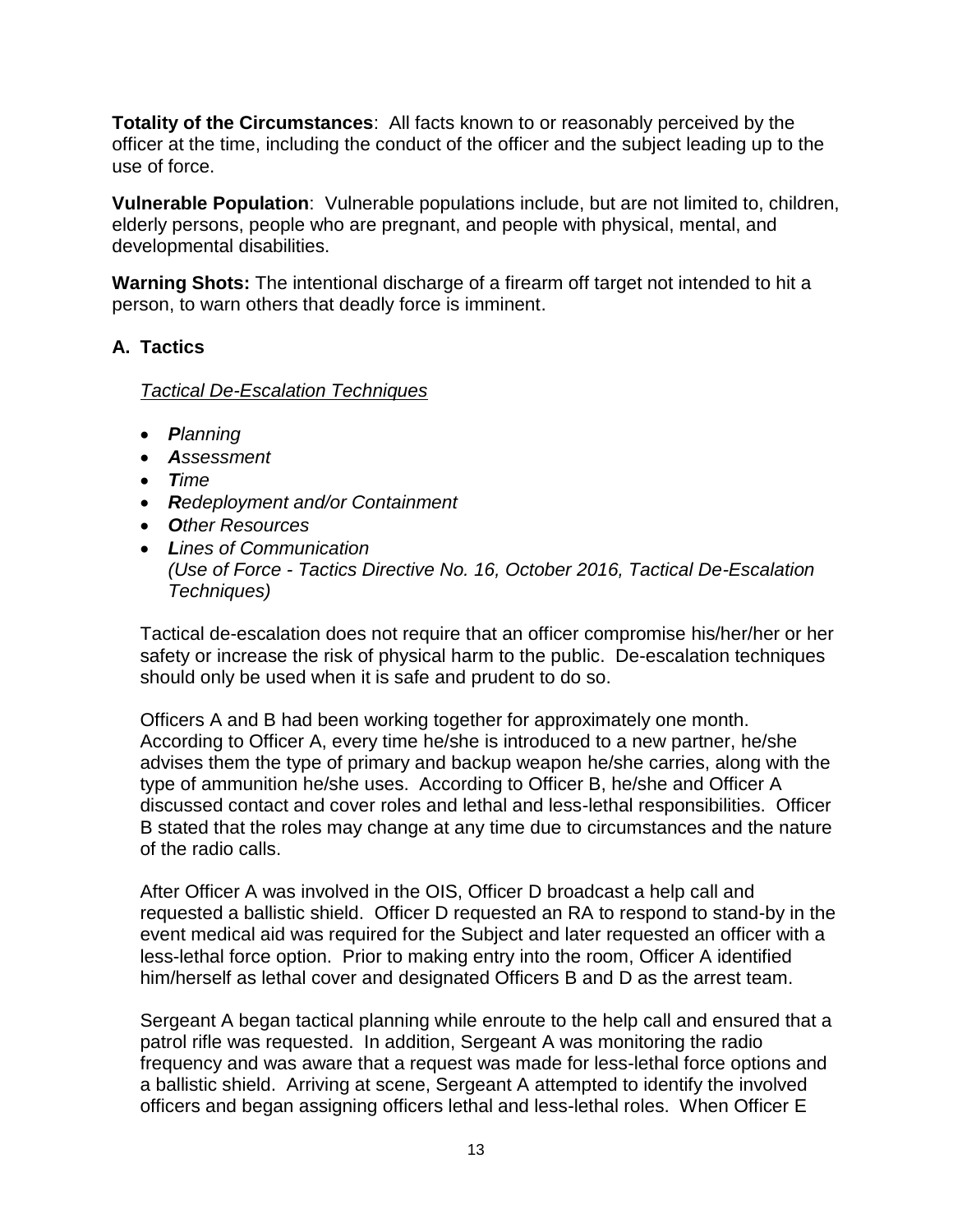**Totality of the Circumstances**: All facts known to or reasonably perceived by the officer at the time, including the conduct of the officer and the subject leading up to the use of force.

**Vulnerable Population**: Vulnerable populations include, but are not limited to, children, elderly persons, people who are pregnant, and people with physical, mental, and developmental disabilities.

**Warning Shots:** The intentional discharge of a firearm off target not intended to hit a person, to warn others that deadly force is imminent.

## **A. Tactics**

## *Tactical De-Escalation Techniques*

- *Planning*
- *Assessment*
- *Time*
- *Redeployment and/or Containment*
- *Other Resources*
- *Lines of Communication (Use of Force - Tactics Directive No. 16, October 2016, Tactical De-Escalation Techniques)*

Tactical de-escalation does not require that an officer compromise his/her/her or her safety or increase the risk of physical harm to the public. De-escalation techniques should only be used when it is safe and prudent to do so.

Officers A and B had been working together for approximately one month. According to Officer A, every time he/she is introduced to a new partner, he/she advises them the type of primary and backup weapon he/she carries, along with the type of ammunition he/she uses. According to Officer B, he/she and Officer A discussed contact and cover roles and lethal and less-lethal responsibilities. Officer B stated that the roles may change at any time due to circumstances and the nature of the radio calls.

After Officer A was involved in the OIS, Officer D broadcast a help call and requested a ballistic shield. Officer D requested an RA to respond to stand-by in the event medical aid was required for the Subject and later requested an officer with a less-lethal force option. Prior to making entry into the room, Officer A identified him/herself as lethal cover and designated Officers B and D as the arrest team.

Sergeant A began tactical planning while enroute to the help call and ensured that a patrol rifle was requested. In addition, Sergeant A was monitoring the radio frequency and was aware that a request was made for less-lethal force options and a ballistic shield. Arriving at scene, Sergeant A attempted to identify the involved officers and began assigning officers lethal and less-lethal roles. When Officer E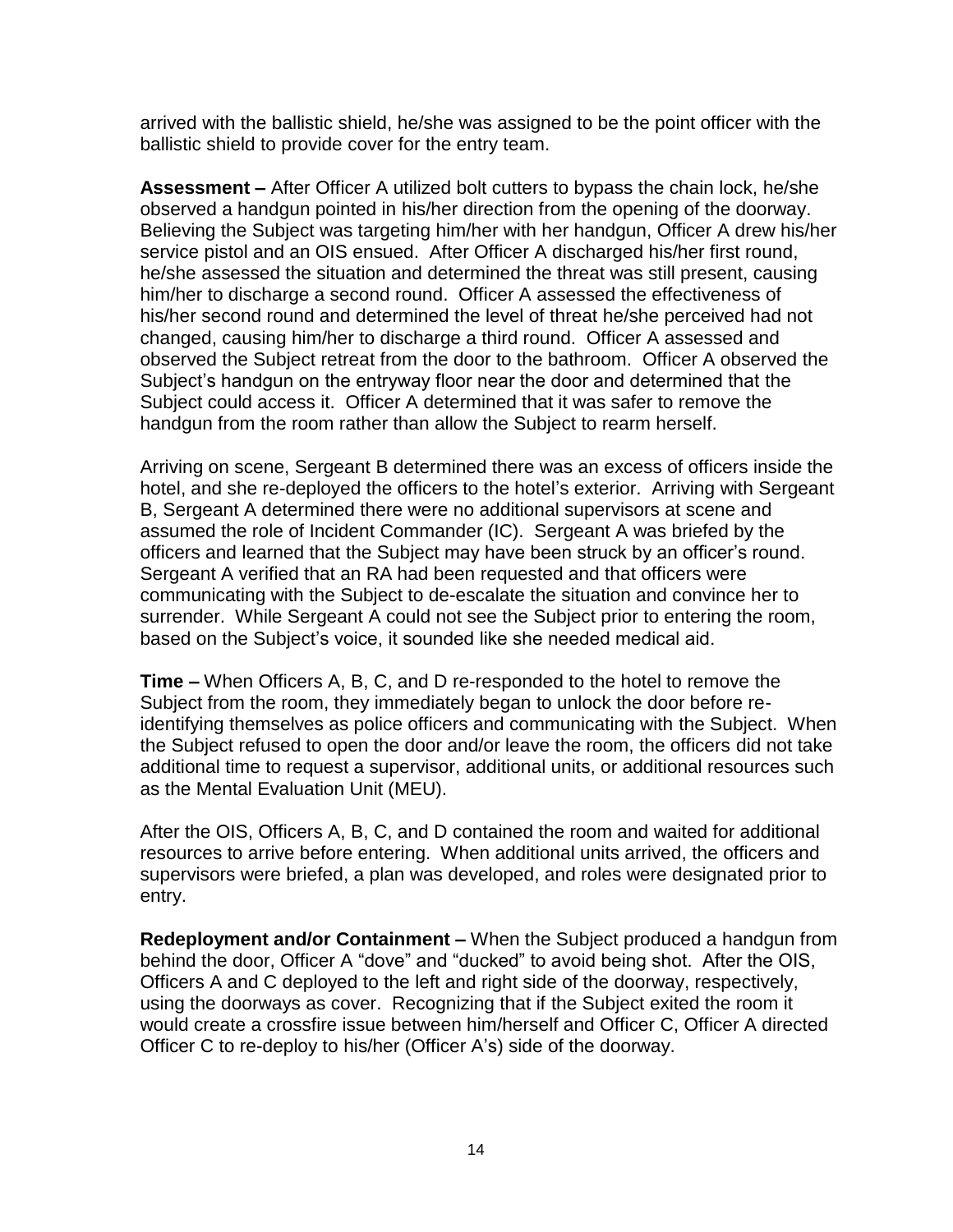arrived with the ballistic shield, he/she was assigned to be the point officer with the ballistic shield to provide cover for the entry team.

**Assessment –** After Officer A utilized bolt cutters to bypass the chain lock, he/she observed a handgun pointed in his/her direction from the opening of the doorway. Believing the Subject was targeting him/her with her handgun, Officer A drew his/her service pistol and an OIS ensued. After Officer A discharged his/her first round, he/she assessed the situation and determined the threat was still present, causing him/her to discharge a second round. Officer A assessed the effectiveness of his/her second round and determined the level of threat he/she perceived had not changed, causing him/her to discharge a third round. Officer A assessed and observed the Subject retreat from the door to the bathroom. Officer A observed the Subject's handgun on the entryway floor near the door and determined that the Subject could access it. Officer A determined that it was safer to remove the handgun from the room rather than allow the Subject to rearm herself.

Arriving on scene, Sergeant B determined there was an excess of officers inside the hotel, and she re-deployed the officers to the hotel's exterior. Arriving with Sergeant B, Sergeant A determined there were no additional supervisors at scene and assumed the role of Incident Commander (IC). Sergeant A was briefed by the officers and learned that the Subject may have been struck by an officer's round. Sergeant A verified that an RA had been requested and that officers were communicating with the Subject to de-escalate the situation and convince her to surrender. While Sergeant A could not see the Subject prior to entering the room, based on the Subject's voice, it sounded like she needed medical aid.

**Time –** When Officers A, B, C, and D re-responded to the hotel to remove the Subject from the room, they immediately began to unlock the door before reidentifying themselves as police officers and communicating with the Subject. When the Subject refused to open the door and/or leave the room, the officers did not take additional time to request a supervisor, additional units, or additional resources such as the Mental Evaluation Unit (MEU).

After the OIS, Officers A, B, C, and D contained the room and waited for additional resources to arrive before entering. When additional units arrived, the officers and supervisors were briefed, a plan was developed, and roles were designated prior to entry.

**Redeployment and/or Containment –** When the Subject produced a handgun from behind the door, Officer A "dove" and "ducked" to avoid being shot. After the OIS, Officers A and C deployed to the left and right side of the doorway, respectively, using the doorways as cover. Recognizing that if the Subject exited the room it would create a crossfire issue between him/herself and Officer C, Officer A directed Officer C to re-deploy to his/her (Officer A's) side of the doorway.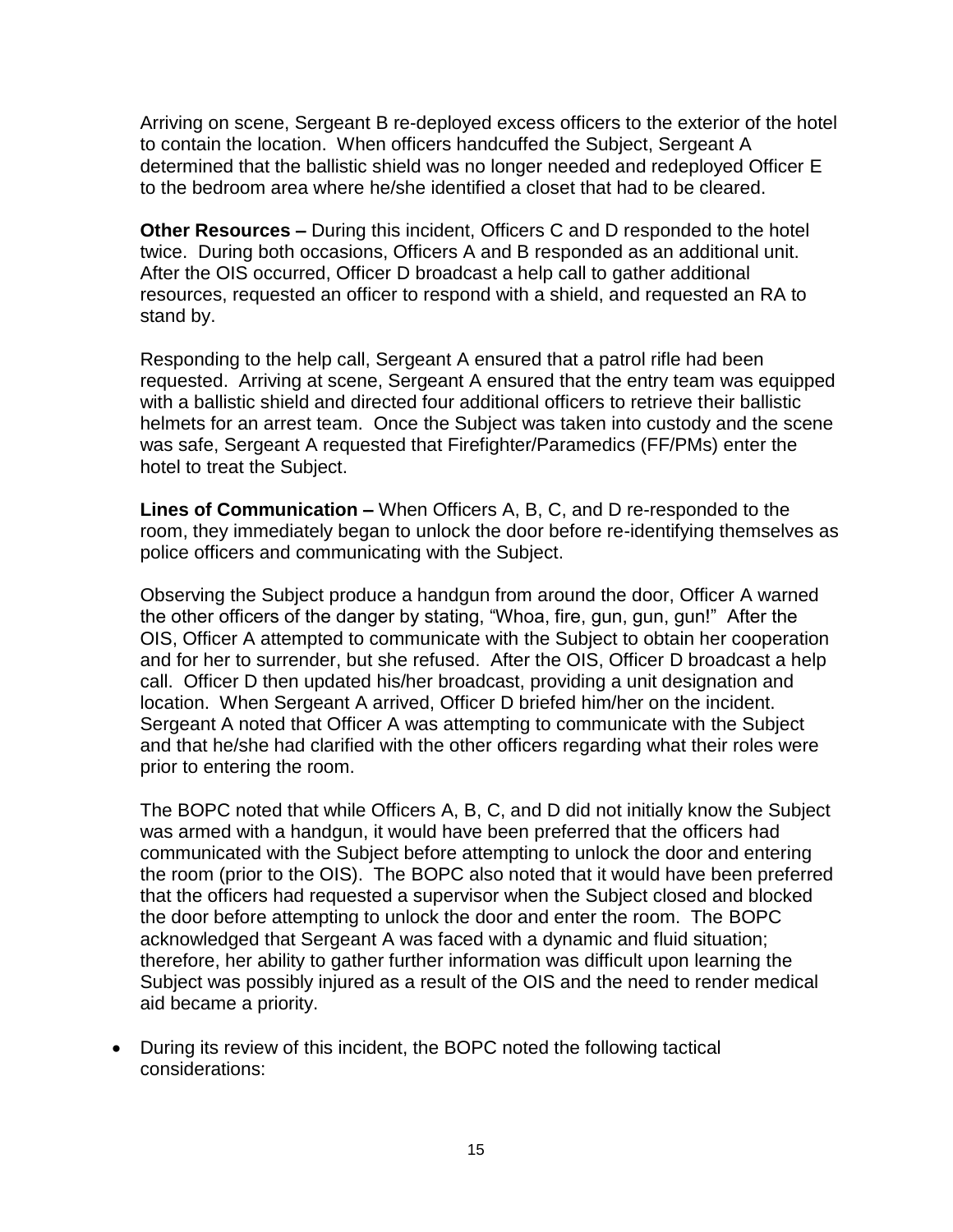Arriving on scene, Sergeant B re-deployed excess officers to the exterior of the hotel to contain the location. When officers handcuffed the Subject, Sergeant A determined that the ballistic shield was no longer needed and redeployed Officer E to the bedroom area where he/she identified a closet that had to be cleared.

**Other Resources –** During this incident, Officers C and D responded to the hotel twice. During both occasions, Officers A and B responded as an additional unit. After the OIS occurred, Officer D broadcast a help call to gather additional resources, requested an officer to respond with a shield, and requested an RA to stand by.

Responding to the help call, Sergeant A ensured that a patrol rifle had been requested. Arriving at scene, Sergeant A ensured that the entry team was equipped with a ballistic shield and directed four additional officers to retrieve their ballistic helmets for an arrest team. Once the Subject was taken into custody and the scene was safe, Sergeant A requested that Firefighter/Paramedics (FF/PMs) enter the hotel to treat the Subject.

**Lines of Communication –** When Officers A, B, C, and D re-responded to the room, they immediately began to unlock the door before re-identifying themselves as police officers and communicating with the Subject.

Observing the Subject produce a handgun from around the door, Officer A warned the other officers of the danger by stating, "Whoa, fire, gun, gun, gun!" After the OIS, Officer A attempted to communicate with the Subject to obtain her cooperation and for her to surrender, but she refused. After the OIS, Officer D broadcast a help call. Officer D then updated his/her broadcast, providing a unit designation and location. When Sergeant A arrived, Officer D briefed him/her on the incident. Sergeant A noted that Officer A was attempting to communicate with the Subject and that he/she had clarified with the other officers regarding what their roles were prior to entering the room.

The BOPC noted that while Officers A, B, C, and D did not initially know the Subject was armed with a handgun, it would have been preferred that the officers had communicated with the Subject before attempting to unlock the door and entering the room (prior to the OIS). The BOPC also noted that it would have been preferred that the officers had requested a supervisor when the Subject closed and blocked the door before attempting to unlock the door and enter the room. The BOPC acknowledged that Sergeant A was faced with a dynamic and fluid situation; therefore, her ability to gather further information was difficult upon learning the Subject was possibly injured as a result of the OIS and the need to render medical aid became a priority.

• During its review of this incident, the BOPC noted the following tactical considerations: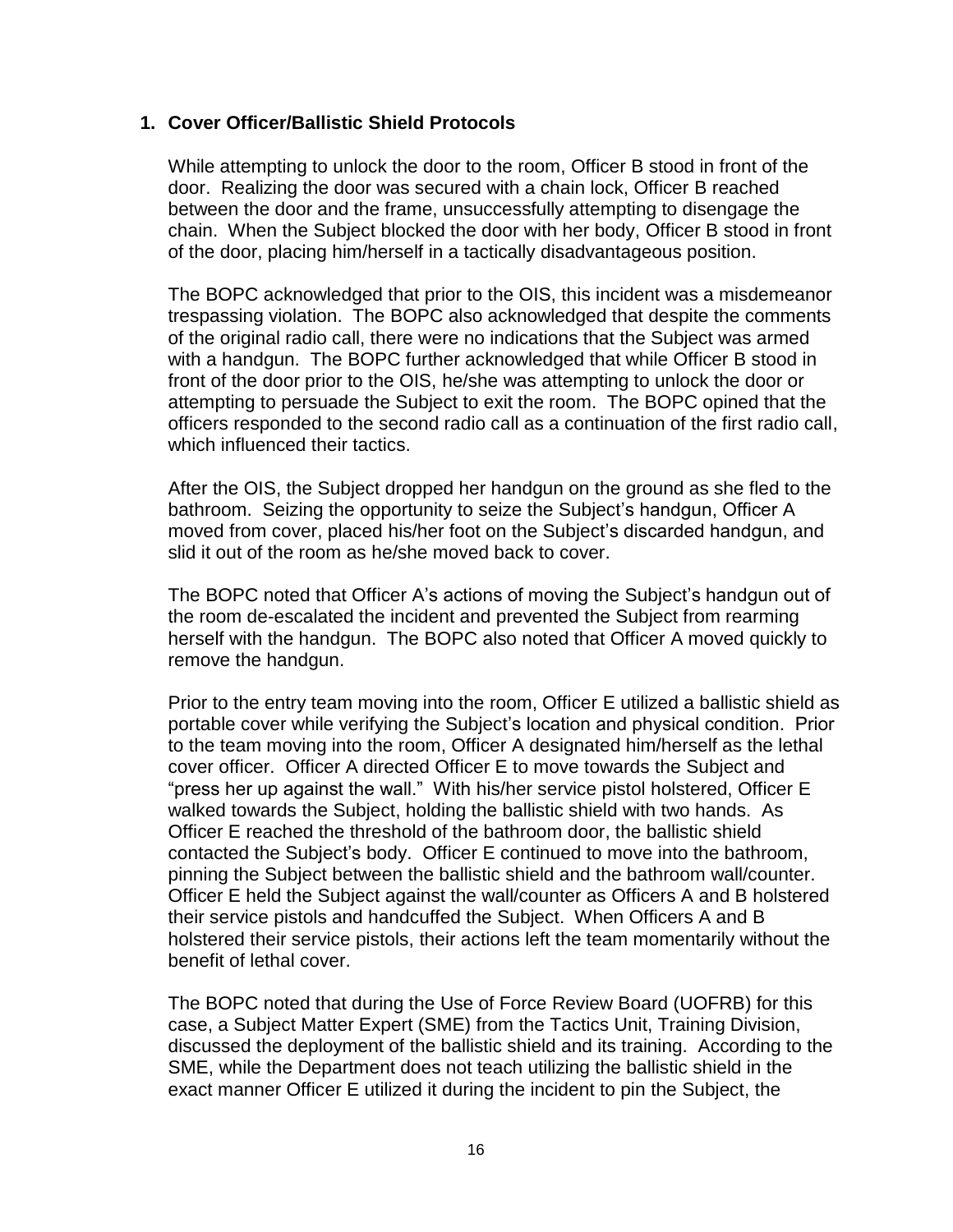#### **1. Cover Officer/Ballistic Shield Protocols**

While attempting to unlock the door to the room, Officer B stood in front of the door. Realizing the door was secured with a chain lock, Officer B reached between the door and the frame, unsuccessfully attempting to disengage the chain. When the Subject blocked the door with her body, Officer B stood in front of the door, placing him/herself in a tactically disadvantageous position.

The BOPC acknowledged that prior to the OIS, this incident was a misdemeanor trespassing violation. The BOPC also acknowledged that despite the comments of the original radio call, there were no indications that the Subject was armed with a handgun. The BOPC further acknowledged that while Officer B stood in front of the door prior to the OIS, he/she was attempting to unlock the door or attempting to persuade the Subject to exit the room. The BOPC opined that the officers responded to the second radio call as a continuation of the first radio call, which influenced their tactics.

After the OIS, the Subject dropped her handgun on the ground as she fled to the bathroom. Seizing the opportunity to seize the Subject's handgun, Officer A moved from cover, placed his/her foot on the Subject's discarded handgun, and slid it out of the room as he/she moved back to cover.

The BOPC noted that Officer A's actions of moving the Subject's handgun out of the room de-escalated the incident and prevented the Subject from rearming herself with the handgun. The BOPC also noted that Officer A moved quickly to remove the handgun.

Prior to the entry team moving into the room, Officer E utilized a ballistic shield as portable cover while verifying the Subject's location and physical condition. Prior to the team moving into the room, Officer A designated him/herself as the lethal cover officer. Officer A directed Officer E to move towards the Subject and "press her up against the wall." With his/her service pistol holstered, Officer E walked towards the Subject, holding the ballistic shield with two hands. As Officer E reached the threshold of the bathroom door, the ballistic shield contacted the Subject's body. Officer E continued to move into the bathroom, pinning the Subject between the ballistic shield and the bathroom wall/counter. Officer E held the Subject against the wall/counter as Officers A and B holstered their service pistols and handcuffed the Subject. When Officers A and B holstered their service pistols, their actions left the team momentarily without the benefit of lethal cover.

The BOPC noted that during the Use of Force Review Board (UOFRB) for this case, a Subject Matter Expert (SME) from the Tactics Unit, Training Division, discussed the deployment of the ballistic shield and its training. According to the SME, while the Department does not teach utilizing the ballistic shield in the exact manner Officer E utilized it during the incident to pin the Subject, the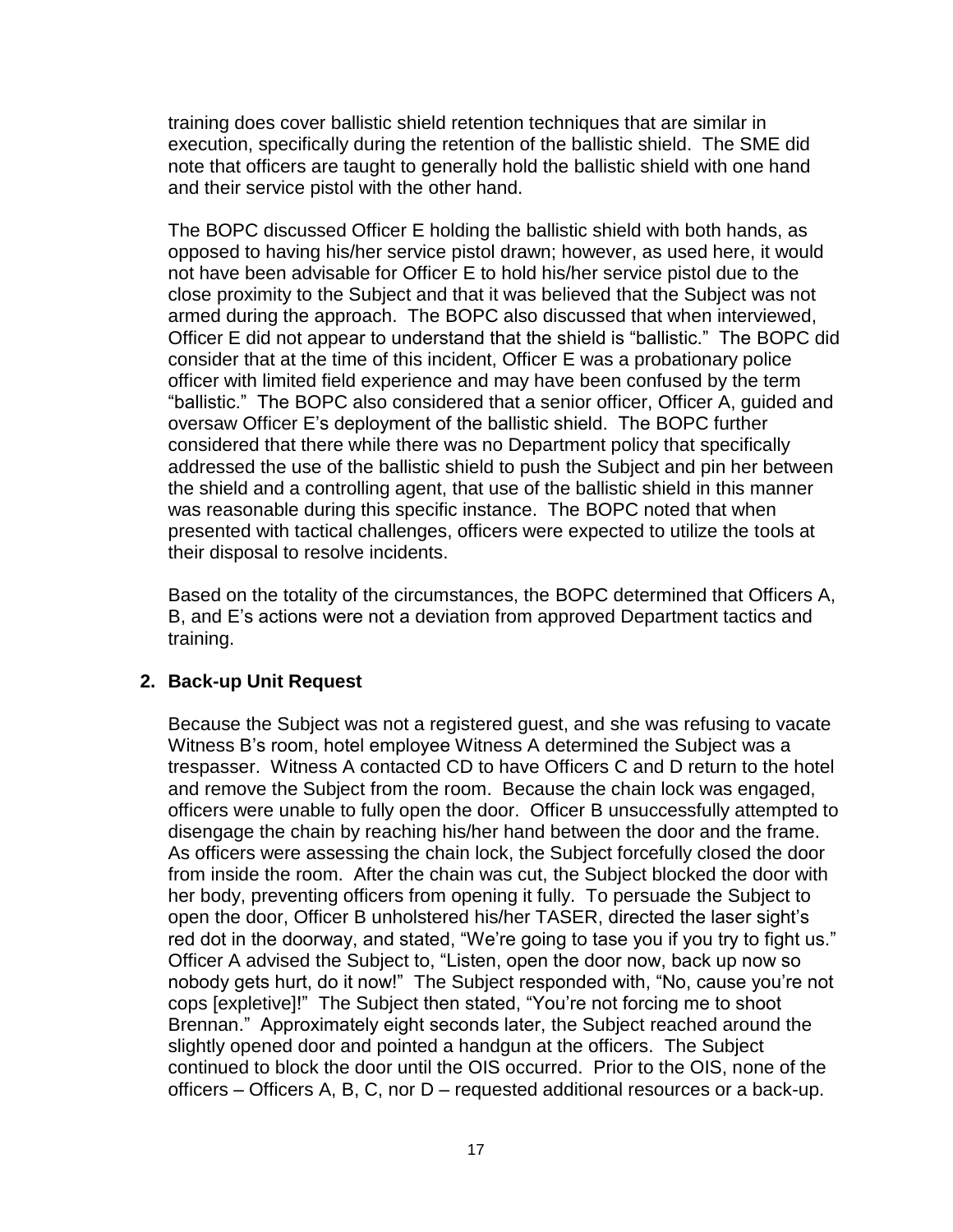training does cover ballistic shield retention techniques that are similar in execution, specifically during the retention of the ballistic shield. The SME did note that officers are taught to generally hold the ballistic shield with one hand and their service pistol with the other hand.

The BOPC discussed Officer E holding the ballistic shield with both hands, as opposed to having his/her service pistol drawn; however, as used here, it would not have been advisable for Officer E to hold his/her service pistol due to the close proximity to the Subject and that it was believed that the Subject was not armed during the approach. The BOPC also discussed that when interviewed, Officer E did not appear to understand that the shield is "ballistic." The BOPC did consider that at the time of this incident, Officer E was a probationary police officer with limited field experience and may have been confused by the term "ballistic." The BOPC also considered that a senior officer, Officer A, guided and oversaw Officer E's deployment of the ballistic shield. The BOPC further considered that there while there was no Department policy that specifically addressed the use of the ballistic shield to push the Subject and pin her between the shield and a controlling agent, that use of the ballistic shield in this manner was reasonable during this specific instance. The BOPC noted that when presented with tactical challenges, officers were expected to utilize the tools at their disposal to resolve incidents.

Based on the totality of the circumstances, the BOPC determined that Officers A, B, and E's actions were not a deviation from approved Department tactics and training.

#### **2. Back-up Unit Request**

Because the Subject was not a registered guest, and she was refusing to vacate Witness B's room, hotel employee Witness A determined the Subject was a trespasser. Witness A contacted CD to have Officers C and D return to the hotel and remove the Subject from the room. Because the chain lock was engaged, officers were unable to fully open the door. Officer B unsuccessfully attempted to disengage the chain by reaching his/her hand between the door and the frame. As officers were assessing the chain lock, the Subject forcefully closed the door from inside the room. After the chain was cut, the Subject blocked the door with her body, preventing officers from opening it fully. To persuade the Subject to open the door, Officer B unholstered his/her TASER, directed the laser sight's red dot in the doorway, and stated, "We're going to tase you if you try to fight us." Officer A advised the Subject to, "Listen, open the door now, back up now so nobody gets hurt, do it now!" The Subject responded with, "No, cause you're not cops [expletive]!" The Subject then stated, "You're not forcing me to shoot Brennan." Approximately eight seconds later, the Subject reached around the slightly opened door and pointed a handgun at the officers. The Subject continued to block the door until the OIS occurred. Prior to the OIS, none of the officers – Officers A, B, C, nor D – requested additional resources or a back-up.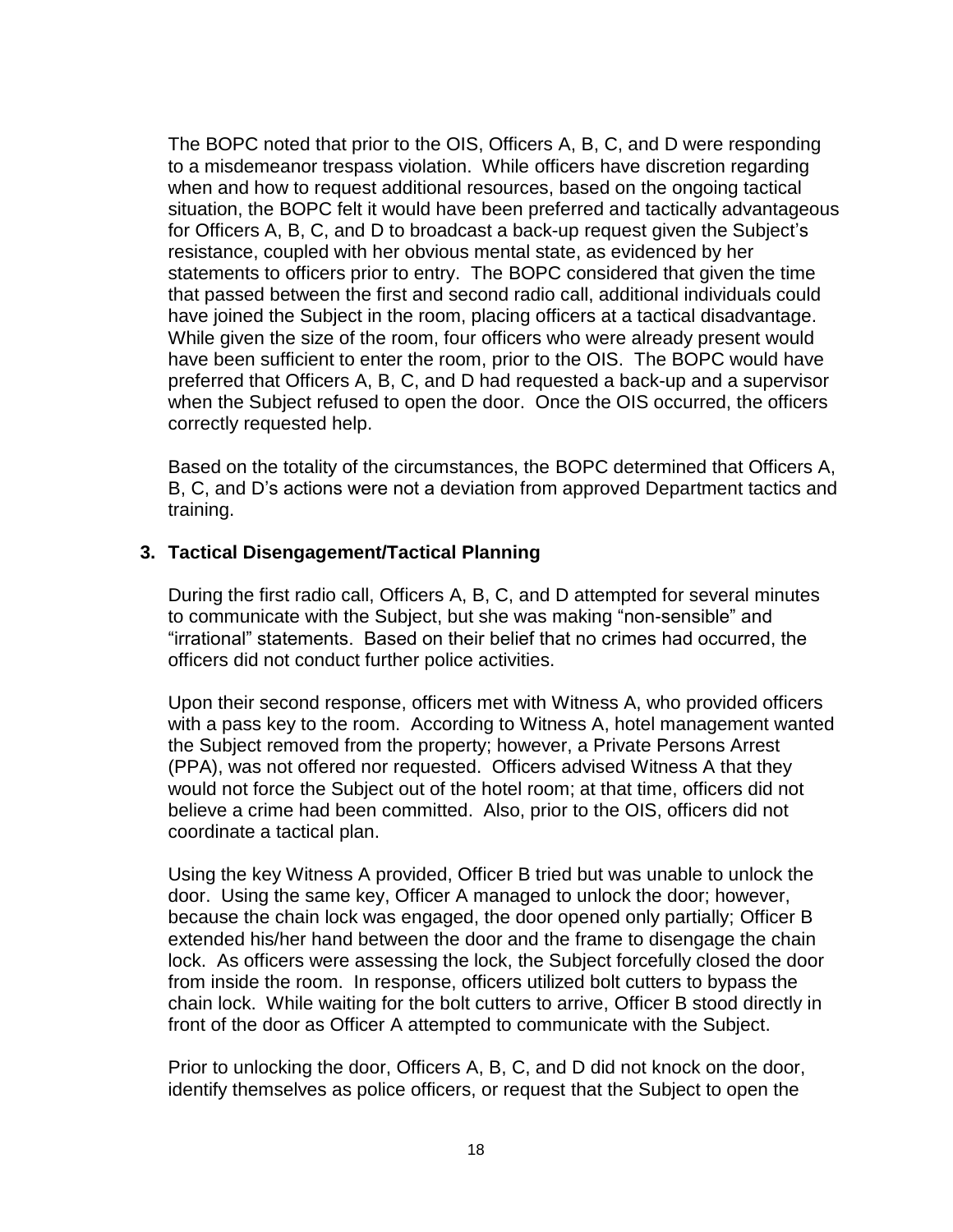The BOPC noted that prior to the OIS, Officers A, B, C, and D were responding to a misdemeanor trespass violation. While officers have discretion regarding when and how to request additional resources, based on the ongoing tactical situation, the BOPC felt it would have been preferred and tactically advantageous for Officers A, B, C, and D to broadcast a back-up request given the Subject's resistance, coupled with her obvious mental state, as evidenced by her statements to officers prior to entry. The BOPC considered that given the time that passed between the first and second radio call, additional individuals could have joined the Subject in the room, placing officers at a tactical disadvantage. While given the size of the room, four officers who were already present would have been sufficient to enter the room, prior to the OIS. The BOPC would have preferred that Officers A, B, C, and D had requested a back-up and a supervisor when the Subject refused to open the door. Once the OIS occurred, the officers correctly requested help.

Based on the totality of the circumstances, the BOPC determined that Officers A, B, C, and D's actions were not a deviation from approved Department tactics and training.

#### **3. Tactical Disengagement/Tactical Planning**

During the first radio call, Officers A, B, C, and D attempted for several minutes to communicate with the Subject, but she was making "non-sensible" and "irrational" statements. Based on their belief that no crimes had occurred, the officers did not conduct further police activities.

Upon their second response, officers met with Witness A, who provided officers with a pass key to the room. According to Witness A, hotel management wanted the Subject removed from the property; however, a Private Persons Arrest (PPA), was not offered nor requested. Officers advised Witness A that they would not force the Subject out of the hotel room; at that time, officers did not believe a crime had been committed. Also, prior to the OIS, officers did not coordinate a tactical plan.

Using the key Witness A provided, Officer B tried but was unable to unlock the door. Using the same key, Officer A managed to unlock the door; however, because the chain lock was engaged, the door opened only partially; Officer B extended his/her hand between the door and the frame to disengage the chain lock. As officers were assessing the lock, the Subject forcefully closed the door from inside the room. In response, officers utilized bolt cutters to bypass the chain lock. While waiting for the bolt cutters to arrive, Officer B stood directly in front of the door as Officer A attempted to communicate with the Subject.

Prior to unlocking the door, Officers A, B, C, and D did not knock on the door, identify themselves as police officers, or request that the Subject to open the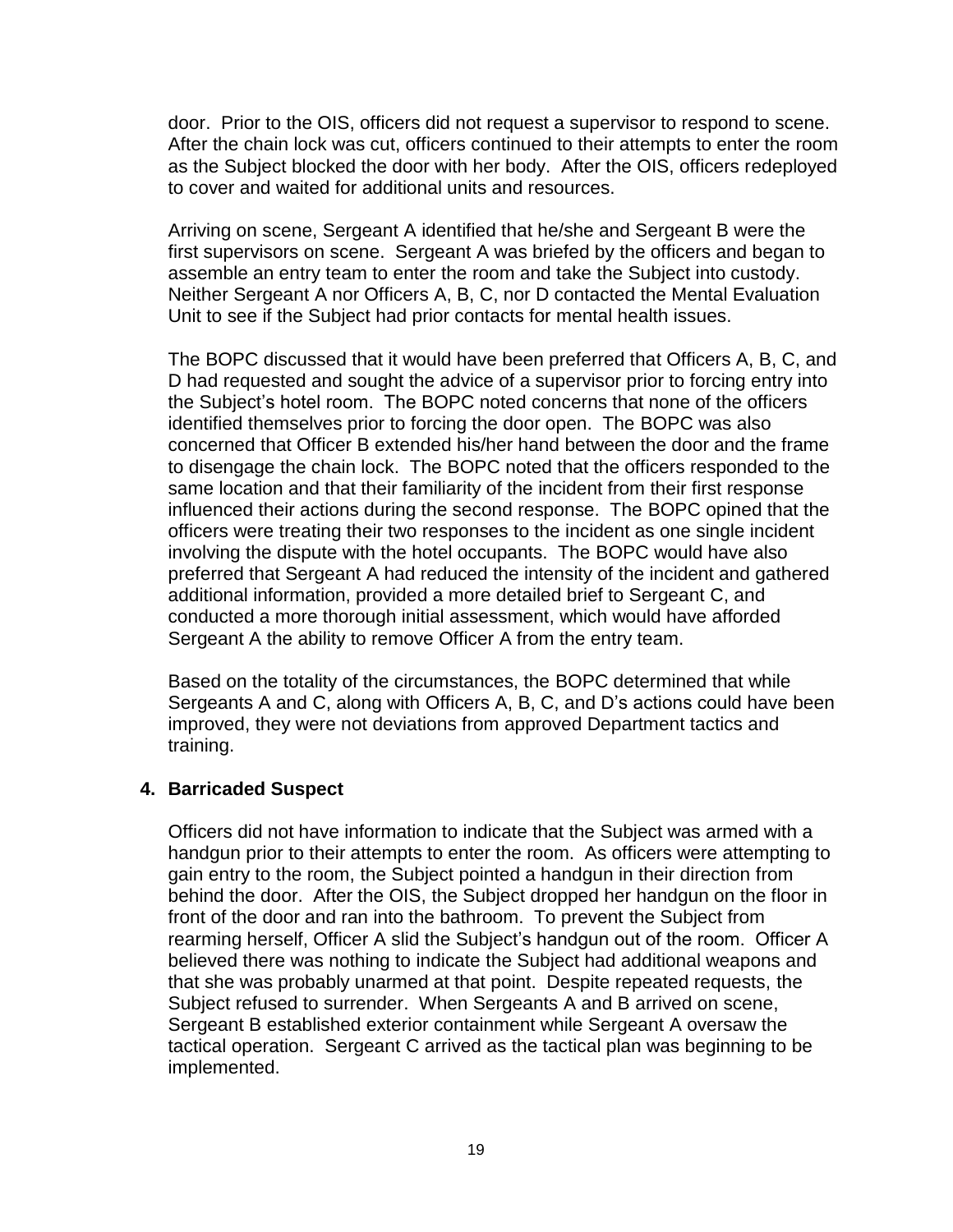door. Prior to the OIS, officers did not request a supervisor to respond to scene. After the chain lock was cut, officers continued to their attempts to enter the room as the Subject blocked the door with her body. After the OIS, officers redeployed to cover and waited for additional units and resources.

Arriving on scene, Sergeant A identified that he/she and Sergeant B were the first supervisors on scene. Sergeant A was briefed by the officers and began to assemble an entry team to enter the room and take the Subject into custody. Neither Sergeant A nor Officers A, B, C, nor D contacted the Mental Evaluation Unit to see if the Subject had prior contacts for mental health issues.

The BOPC discussed that it would have been preferred that Officers A, B, C, and D had requested and sought the advice of a supervisor prior to forcing entry into the Subject's hotel room. The BOPC noted concerns that none of the officers identified themselves prior to forcing the door open. The BOPC was also concerned that Officer B extended his/her hand between the door and the frame to disengage the chain lock. The BOPC noted that the officers responded to the same location and that their familiarity of the incident from their first response influenced their actions during the second response. The BOPC opined that the officers were treating their two responses to the incident as one single incident involving the dispute with the hotel occupants. The BOPC would have also preferred that Sergeant A had reduced the intensity of the incident and gathered additional information, provided a more detailed brief to Sergeant C, and conducted a more thorough initial assessment, which would have afforded Sergeant A the ability to remove Officer A from the entry team.

Based on the totality of the circumstances, the BOPC determined that while Sergeants A and C, along with Officers A, B, C, and D's actions could have been improved, they were not deviations from approved Department tactics and training.

#### **4. Barricaded Suspect**

Officers did not have information to indicate that the Subject was armed with a handgun prior to their attempts to enter the room. As officers were attempting to gain entry to the room, the Subject pointed a handgun in their direction from behind the door. After the OIS, the Subject dropped her handgun on the floor in front of the door and ran into the bathroom. To prevent the Subject from rearming herself, Officer A slid the Subject's handgun out of the room. Officer A believed there was nothing to indicate the Subject had additional weapons and that she was probably unarmed at that point. Despite repeated requests, the Subject refused to surrender. When Sergeants A and B arrived on scene, Sergeant B established exterior containment while Sergeant A oversaw the tactical operation. Sergeant C arrived as the tactical plan was beginning to be implemented.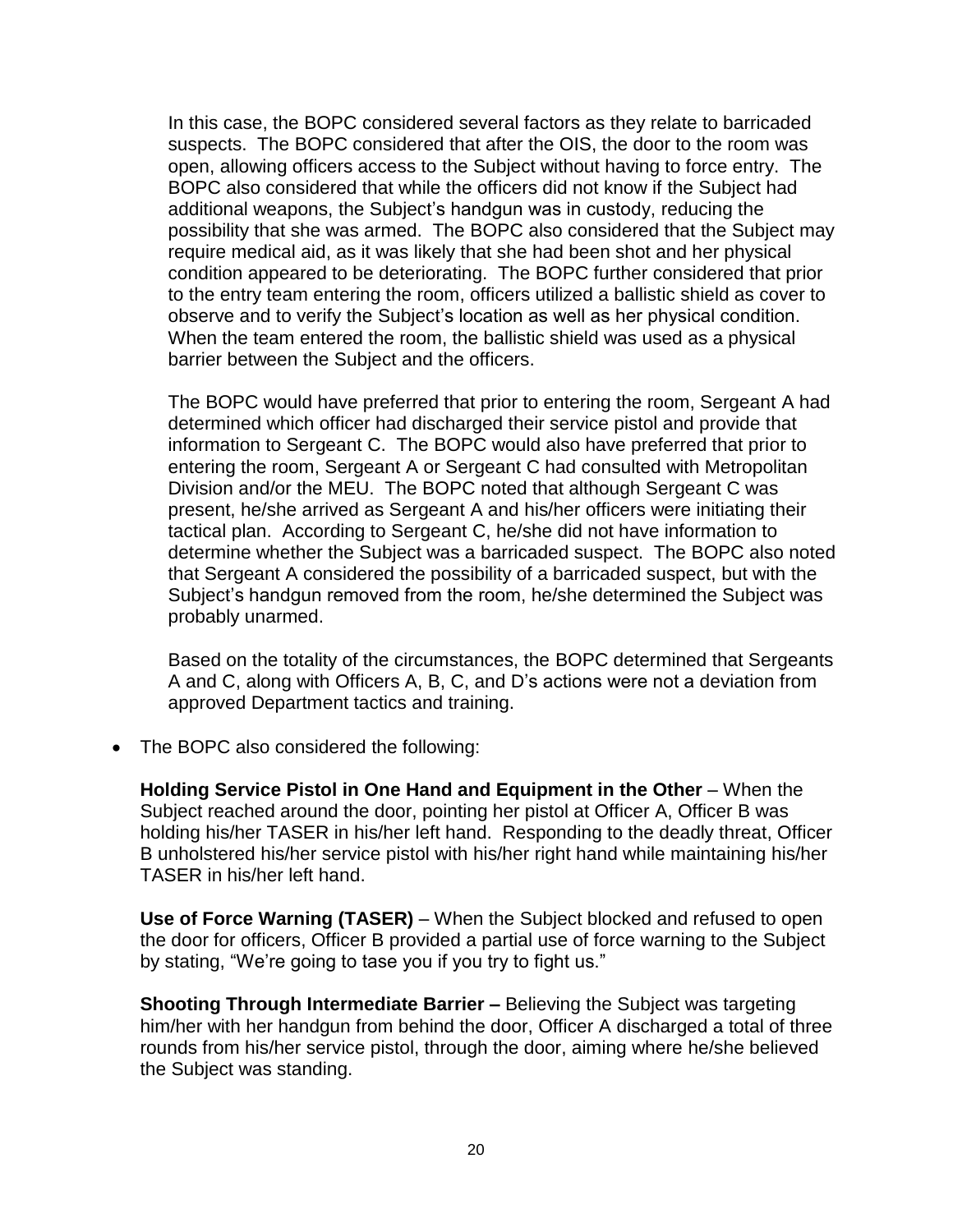In this case, the BOPC considered several factors as they relate to barricaded suspects. The BOPC considered that after the OIS, the door to the room was open, allowing officers access to the Subject without having to force entry. The BOPC also considered that while the officers did not know if the Subject had additional weapons, the Subject's handgun was in custody, reducing the possibility that she was armed. The BOPC also considered that the Subject may require medical aid, as it was likely that she had been shot and her physical condition appeared to be deteriorating. The BOPC further considered that prior to the entry team entering the room, officers utilized a ballistic shield as cover to observe and to verify the Subject's location as well as her physical condition. When the team entered the room, the ballistic shield was used as a physical barrier between the Subject and the officers.

The BOPC would have preferred that prior to entering the room, Sergeant A had determined which officer had discharged their service pistol and provide that information to Sergeant C. The BOPC would also have preferred that prior to entering the room, Sergeant A or Sergeant C had consulted with Metropolitan Division and/or the MEU. The BOPC noted that although Sergeant C was present, he/she arrived as Sergeant A and his/her officers were initiating their tactical plan. According to Sergeant C, he/she did not have information to determine whether the Subject was a barricaded suspect. The BOPC also noted that Sergeant A considered the possibility of a barricaded suspect, but with the Subject's handgun removed from the room, he/she determined the Subject was probably unarmed.

Based on the totality of the circumstances, the BOPC determined that Sergeants A and C, along with Officers A, B, C, and D's actions were not a deviation from approved Department tactics and training.

• The BOPC also considered the following:

**Holding Service Pistol in One Hand and Equipment in the Other** – When the Subject reached around the door, pointing her pistol at Officer A, Officer B was holding his/her TASER in his/her left hand. Responding to the deadly threat, Officer B unholstered his/her service pistol with his/her right hand while maintaining his/her TASER in his/her left hand.

**Use of Force Warning (TASER)** – When the Subject blocked and refused to open the door for officers, Officer B provided a partial use of force warning to the Subject by stating, "We're going to tase you if you try to fight us."

**Shooting Through Intermediate Barrier –** Believing the Subject was targeting him/her with her handgun from behind the door, Officer A discharged a total of three rounds from his/her service pistol, through the door, aiming where he/she believed the Subject was standing.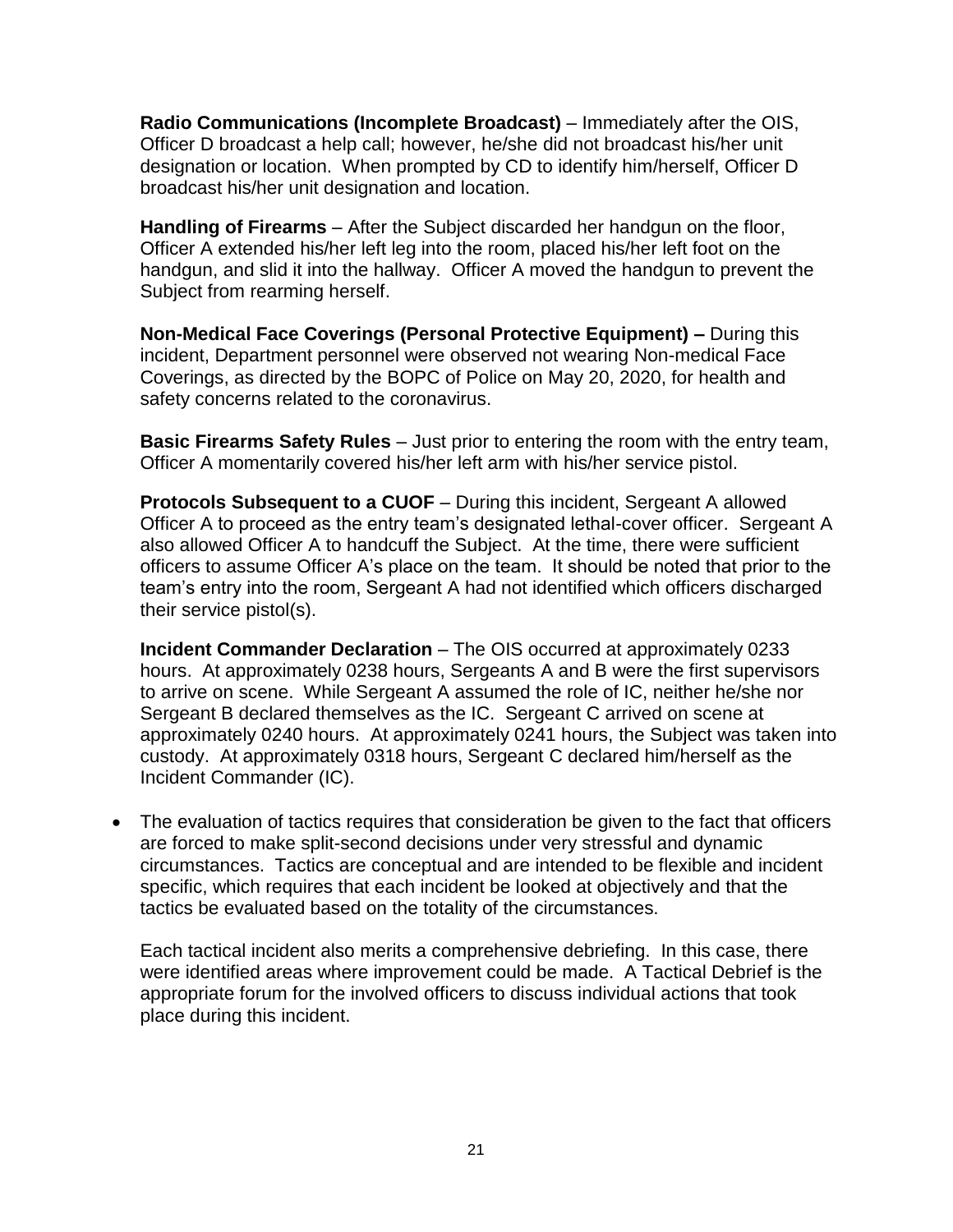**Radio Communications (Incomplete Broadcast)** – Immediately after the OIS, Officer D broadcast a help call; however, he/she did not broadcast his/her unit designation or location. When prompted by CD to identify him/herself, Officer D broadcast his/her unit designation and location.

**Handling of Firearms** – After the Subject discarded her handgun on the floor, Officer A extended his/her left leg into the room, placed his/her left foot on the handgun, and slid it into the hallway. Officer A moved the handgun to prevent the Subject from rearming herself.

**Non-Medical Face Coverings (Personal Protective Equipment) –** During this incident, Department personnel were observed not wearing Non-medical Face Coverings, as directed by the BOPC of Police on May 20, 2020, for health and safety concerns related to the coronavirus.

**Basic Firearms Safety Rules** – Just prior to entering the room with the entry team, Officer A momentarily covered his/her left arm with his/her service pistol.

**Protocols Subsequent to a CUOF** – During this incident, Sergeant A allowed Officer A to proceed as the entry team's designated lethal-cover officer. Sergeant A also allowed Officer A to handcuff the Subject. At the time, there were sufficient officers to assume Officer A's place on the team. It should be noted that prior to the team's entry into the room, Sergeant A had not identified which officers discharged their service pistol(s).

**Incident Commander Declaration** – The OIS occurred at approximately 0233 hours. At approximately 0238 hours, Sergeants A and B were the first supervisors to arrive on scene. While Sergeant A assumed the role of IC, neither he/she nor Sergeant B declared themselves as the IC. Sergeant C arrived on scene at approximately 0240 hours. At approximately 0241 hours, the Subject was taken into custody. At approximately 0318 hours, Sergeant C declared him/herself as the Incident Commander (IC).

• The evaluation of tactics requires that consideration be given to the fact that officers are forced to make split-second decisions under very stressful and dynamic circumstances. Tactics are conceptual and are intended to be flexible and incident specific, which requires that each incident be looked at objectively and that the tactics be evaluated based on the totality of the circumstances.

Each tactical incident also merits a comprehensive debriefing. In this case, there were identified areas where improvement could be made. A Tactical Debrief is the appropriate forum for the involved officers to discuss individual actions that took place during this incident.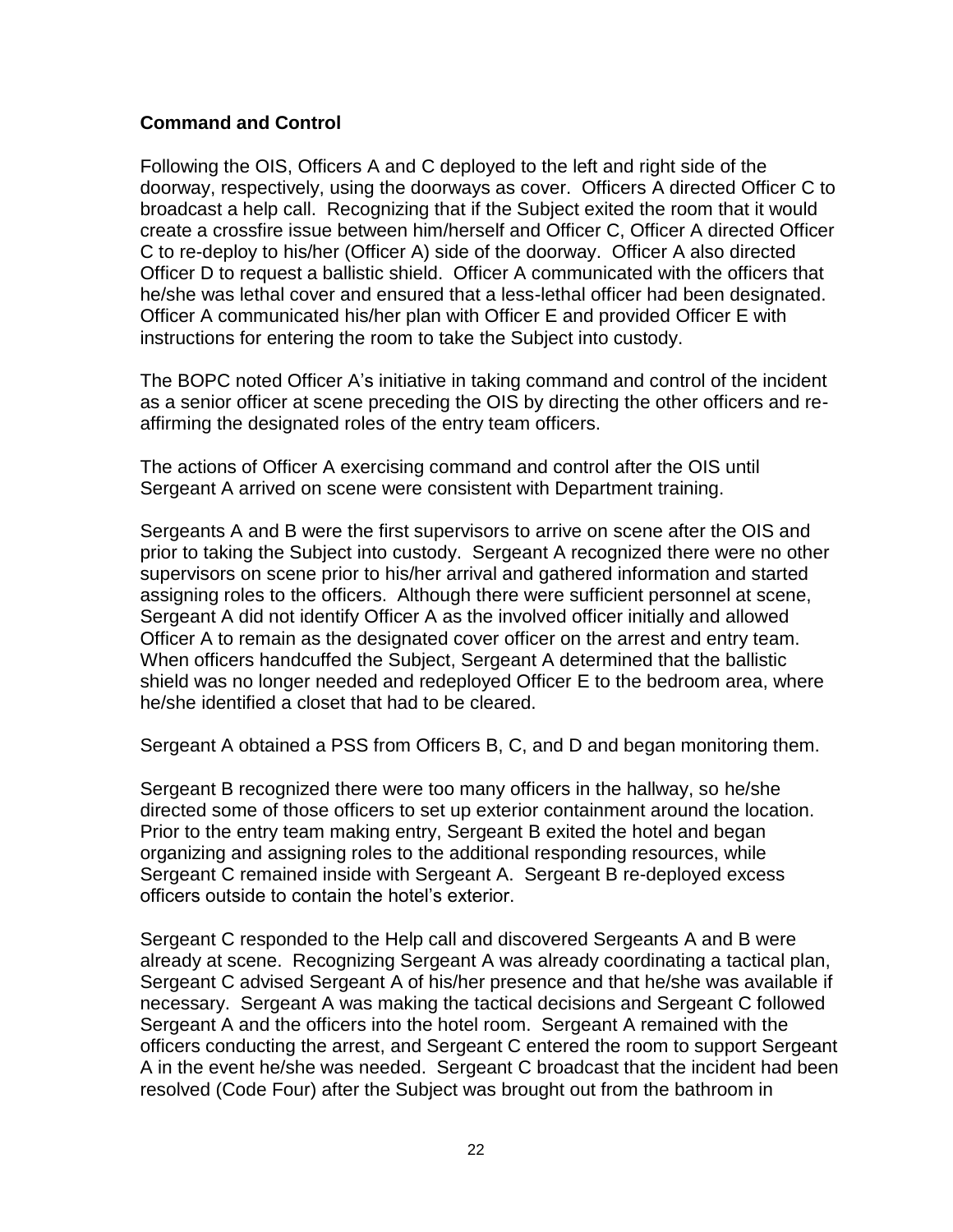## **Command and Control**

Following the OIS, Officers A and C deployed to the left and right side of the doorway, respectively, using the doorways as cover. Officers A directed Officer C to broadcast a help call. Recognizing that if the Subject exited the room that it would create a crossfire issue between him/herself and Officer C, Officer A directed Officer C to re-deploy to his/her (Officer A) side of the doorway. Officer A also directed Officer D to request a ballistic shield. Officer A communicated with the officers that he/she was lethal cover and ensured that a less-lethal officer had been designated. Officer A communicated his/her plan with Officer E and provided Officer E with instructions for entering the room to take the Subject into custody.

The BOPC noted Officer A's initiative in taking command and control of the incident as a senior officer at scene preceding the OIS by directing the other officers and reaffirming the designated roles of the entry team officers.

The actions of Officer A exercising command and control after the OIS until Sergeant A arrived on scene were consistent with Department training.

Sergeants A and B were the first supervisors to arrive on scene after the OIS and prior to taking the Subject into custody. Sergeant A recognized there were no other supervisors on scene prior to his/her arrival and gathered information and started assigning roles to the officers. Although there were sufficient personnel at scene, Sergeant A did not identify Officer A as the involved officer initially and allowed Officer A to remain as the designated cover officer on the arrest and entry team. When officers handcuffed the Subject, Sergeant A determined that the ballistic shield was no longer needed and redeployed Officer E to the bedroom area, where he/she identified a closet that had to be cleared.

Sergeant A obtained a PSS from Officers B, C, and D and began monitoring them.

Sergeant B recognized there were too many officers in the hallway, so he/she directed some of those officers to set up exterior containment around the location. Prior to the entry team making entry, Sergeant B exited the hotel and began organizing and assigning roles to the additional responding resources, while Sergeant C remained inside with Sergeant A. Sergeant B re-deployed excess officers outside to contain the hotel's exterior.

Sergeant C responded to the Help call and discovered Sergeants A and B were already at scene. Recognizing Sergeant A was already coordinating a tactical plan, Sergeant C advised Sergeant A of his/her presence and that he/she was available if necessary. Sergeant A was making the tactical decisions and Sergeant C followed Sergeant A and the officers into the hotel room. Sergeant A remained with the officers conducting the arrest, and Sergeant C entered the room to support Sergeant A in the event he/she was needed. Sergeant C broadcast that the incident had been resolved (Code Four) after the Subject was brought out from the bathroom in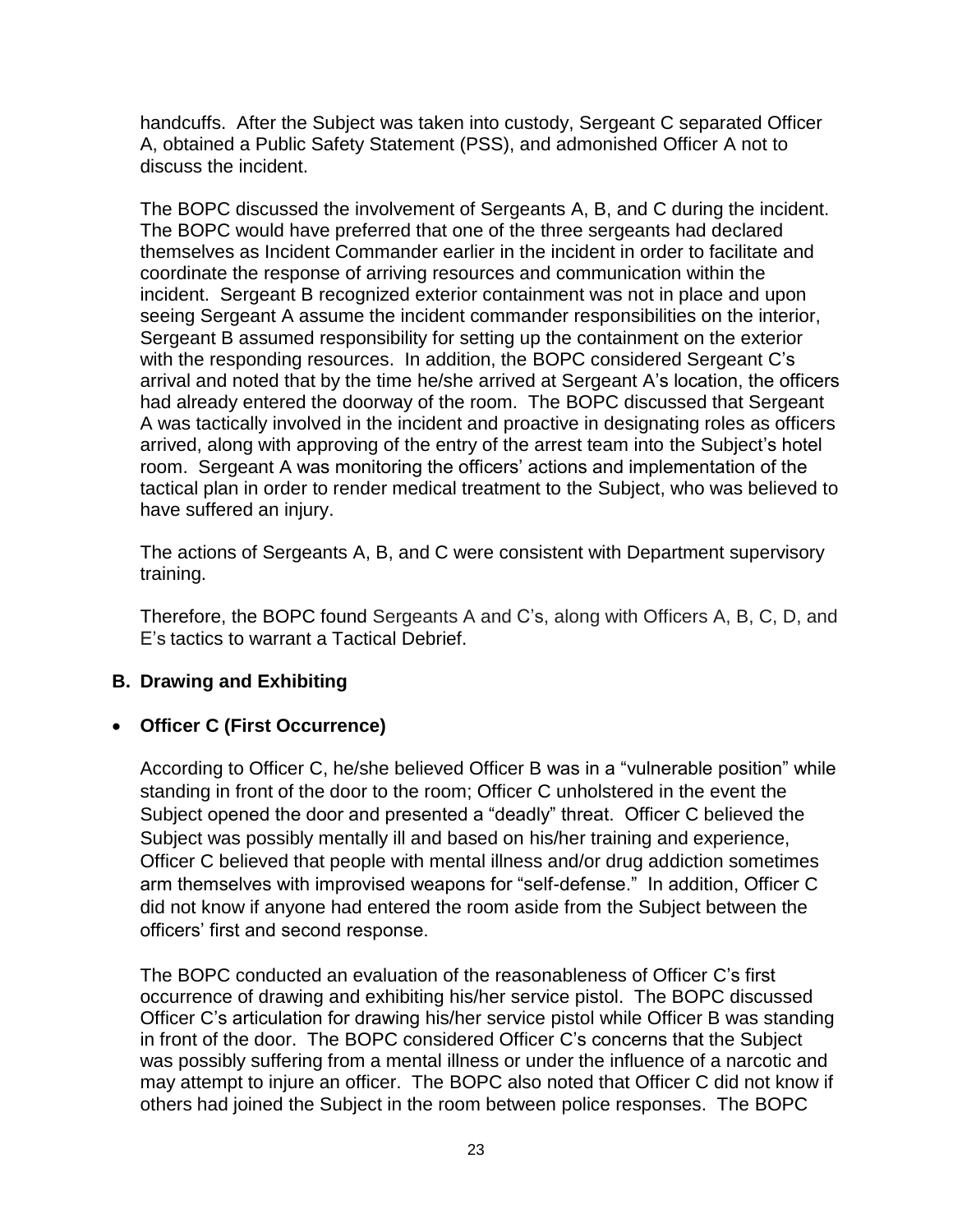handcuffs. After the Subject was taken into custody, Sergeant C separated Officer A, obtained a Public Safety Statement (PSS), and admonished Officer A not to discuss the incident.

The BOPC discussed the involvement of Sergeants A, B, and C during the incident. The BOPC would have preferred that one of the three sergeants had declared themselves as Incident Commander earlier in the incident in order to facilitate and coordinate the response of arriving resources and communication within the incident. Sergeant B recognized exterior containment was not in place and upon seeing Sergeant A assume the incident commander responsibilities on the interior, Sergeant B assumed responsibility for setting up the containment on the exterior with the responding resources. In addition, the BOPC considered Sergeant C's arrival and noted that by the time he/she arrived at Sergeant A's location, the officers had already entered the doorway of the room. The BOPC discussed that Sergeant A was tactically involved in the incident and proactive in designating roles as officers arrived, along with approving of the entry of the arrest team into the Subject's hotel room. Sergeant A was monitoring the officers' actions and implementation of the tactical plan in order to render medical treatment to the Subject, who was believed to have suffered an injury.

The actions of Sergeants A, B, and C were consistent with Department supervisory training.

Therefore, the BOPC found Sergeants A and C's, along with Officers A, B, C, D, and E's tactics to warrant a Tactical Debrief.

## **B. Drawing and Exhibiting**

## • **Officer C (First Occurrence)**

According to Officer C, he/she believed Officer B was in a "vulnerable position" while standing in front of the door to the room; Officer C unholstered in the event the Subject opened the door and presented a "deadly" threat. Officer C believed the Subject was possibly mentally ill and based on his/her training and experience, Officer C believed that people with mental illness and/or drug addiction sometimes arm themselves with improvised weapons for "self-defense." In addition, Officer C did not know if anyone had entered the room aside from the Subject between the officers' first and second response.

The BOPC conducted an evaluation of the reasonableness of Officer C's first occurrence of drawing and exhibiting his/her service pistol. The BOPC discussed Officer C's articulation for drawing his/her service pistol while Officer B was standing in front of the door. The BOPC considered Officer C's concerns that the Subject was possibly suffering from a mental illness or under the influence of a narcotic and may attempt to injure an officer. The BOPC also noted that Officer C did not know if others had joined the Subject in the room between police responses. The BOPC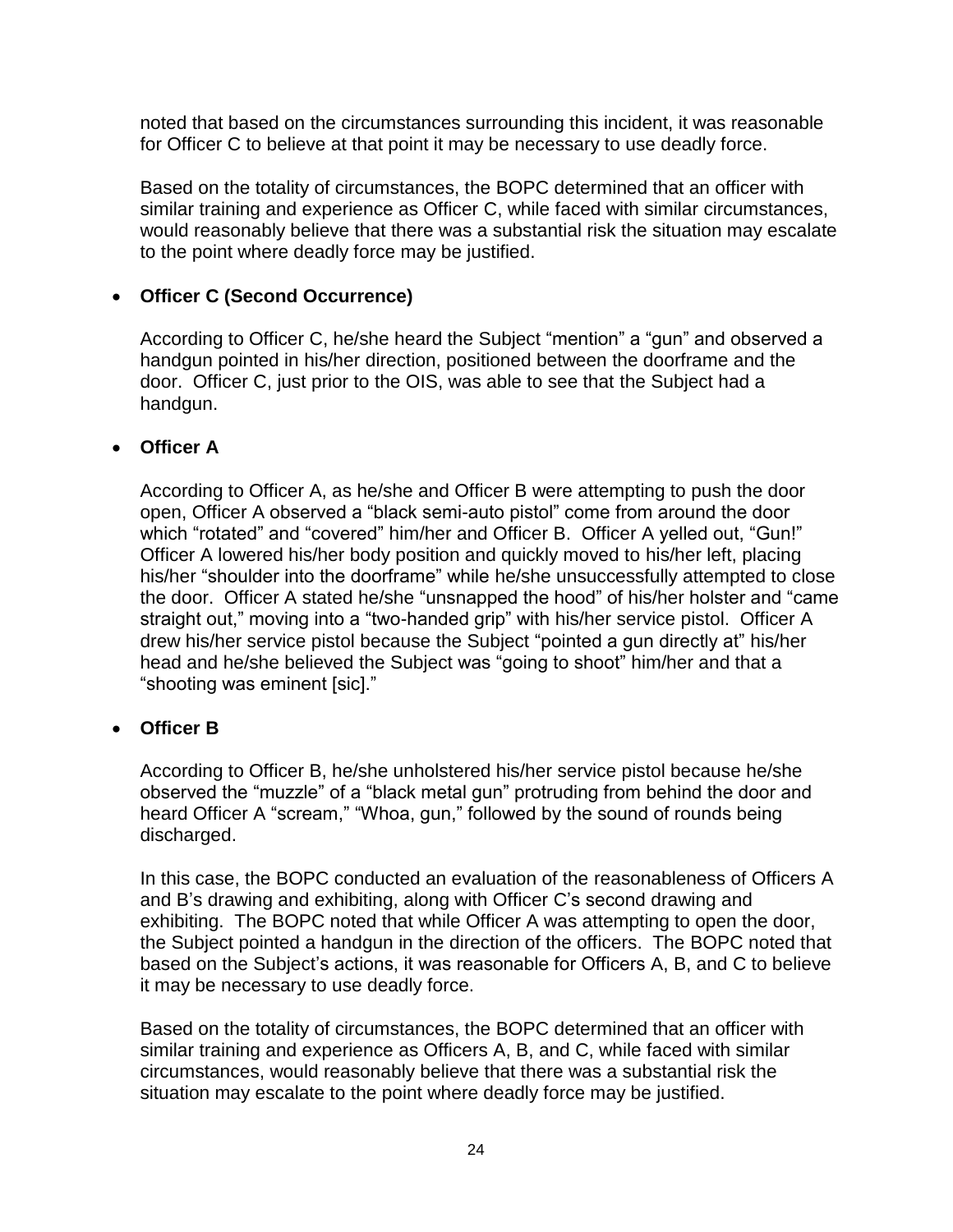noted that based on the circumstances surrounding this incident, it was reasonable for Officer C to believe at that point it may be necessary to use deadly force.

Based on the totality of circumstances, the BOPC determined that an officer with similar training and experience as Officer C, while faced with similar circumstances, would reasonably believe that there was a substantial risk the situation may escalate to the point where deadly force may be justified.

## • **Officer C (Second Occurrence)**

According to Officer C, he/she heard the Subject "mention" a "gun" and observed a handgun pointed in his/her direction, positioned between the doorframe and the door. Officer C, just prior to the OIS, was able to see that the Subject had a handgun.

## • **Officer A**

According to Officer A, as he/she and Officer B were attempting to push the door open, Officer A observed a "black semi-auto pistol" come from around the door which "rotated" and "covered" him/her and Officer B. Officer A yelled out, "Gun!" Officer A lowered his/her body position and quickly moved to his/her left, placing his/her "shoulder into the doorframe" while he/she unsuccessfully attempted to close the door. Officer A stated he/she "unsnapped the hood" of his/her holster and "came straight out," moving into a "two-handed grip" with his/her service pistol. Officer A drew his/her service pistol because the Subject "pointed a gun directly at" his/her head and he/she believed the Subject was "going to shoot" him/her and that a "shooting was eminent [sic]."

## • **Officer B**

According to Officer B, he/she unholstered his/her service pistol because he/she observed the "muzzle" of a "black metal gun" protruding from behind the door and heard Officer A "scream," "Whoa, gun," followed by the sound of rounds being discharged.

In this case, the BOPC conducted an evaluation of the reasonableness of Officers A and B's drawing and exhibiting, along with Officer C's second drawing and exhibiting. The BOPC noted that while Officer A was attempting to open the door, the Subject pointed a handgun in the direction of the officers. The BOPC noted that based on the Subject's actions, it was reasonable for Officers A, B, and C to believe it may be necessary to use deadly force.

Based on the totality of circumstances, the BOPC determined that an officer with similar training and experience as Officers A, B, and C, while faced with similar circumstances, would reasonably believe that there was a substantial risk the situation may escalate to the point where deadly force may be justified.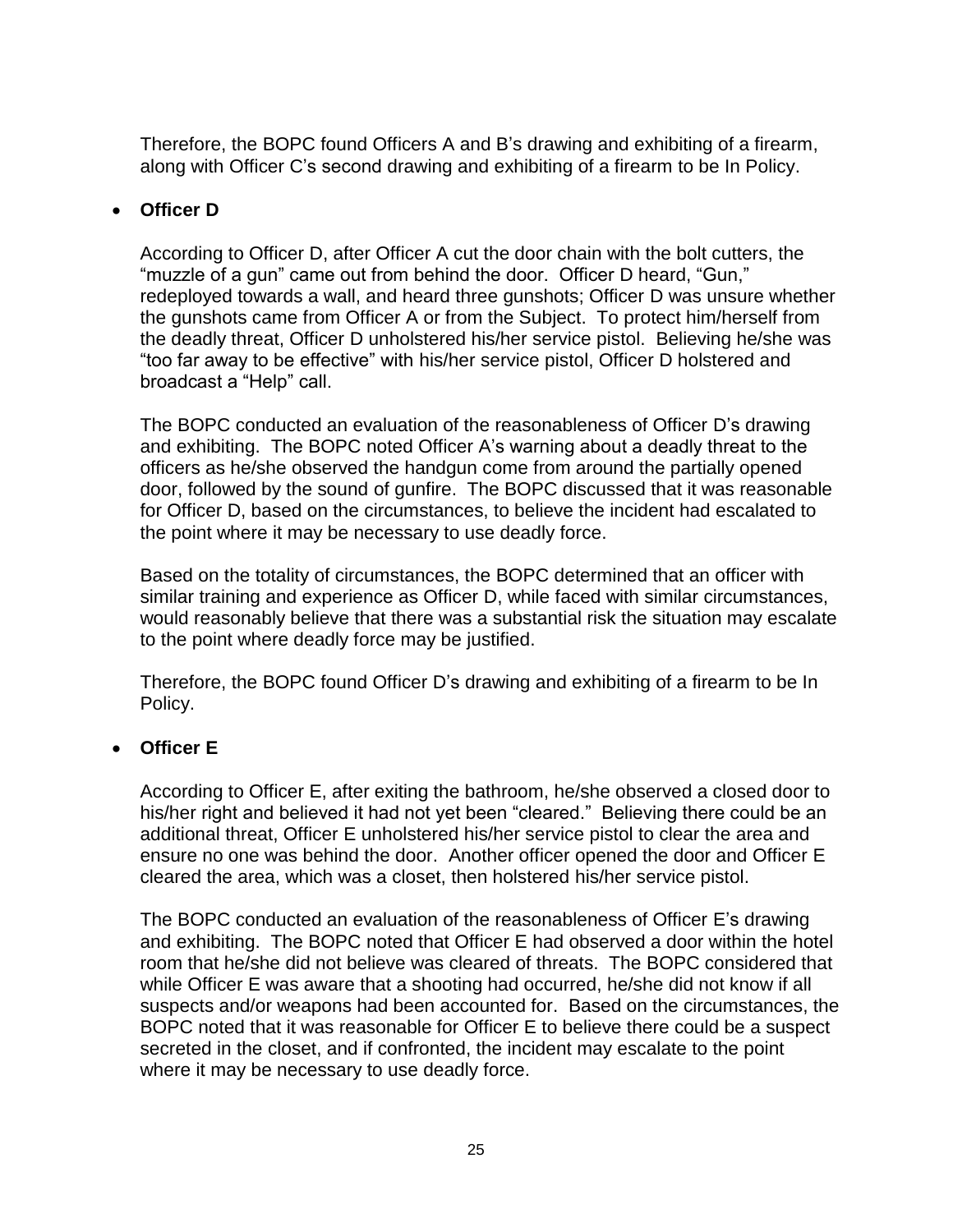Therefore, the BOPC found Officers A and B's drawing and exhibiting of a firearm, along with Officer C's second drawing and exhibiting of a firearm to be In Policy.

## • **Officer D**

According to Officer D, after Officer A cut the door chain with the bolt cutters, the "muzzle of a gun" came out from behind the door. Officer D heard, "Gun," redeployed towards a wall, and heard three gunshots; Officer D was unsure whether the gunshots came from Officer A or from the Subject. To protect him/herself from the deadly threat, Officer D unholstered his/her service pistol. Believing he/she was "too far away to be effective" with his/her service pistol, Officer D holstered and broadcast a "Help" call.

The BOPC conducted an evaluation of the reasonableness of Officer D's drawing and exhibiting. The BOPC noted Officer A's warning about a deadly threat to the officers as he/she observed the handgun come from around the partially opened door, followed by the sound of gunfire. The BOPC discussed that it was reasonable for Officer D, based on the circumstances, to believe the incident had escalated to the point where it may be necessary to use deadly force.

Based on the totality of circumstances, the BOPC determined that an officer with similar training and experience as Officer D, while faced with similar circumstances, would reasonably believe that there was a substantial risk the situation may escalate to the point where deadly force may be justified.

Therefore, the BOPC found Officer D's drawing and exhibiting of a firearm to be In Policy.

## • **Officer E**

According to Officer E, after exiting the bathroom, he/she observed a closed door to his/her right and believed it had not yet been "cleared." Believing there could be an additional threat, Officer E unholstered his/her service pistol to clear the area and ensure no one was behind the door. Another officer opened the door and Officer E cleared the area, which was a closet, then holstered his/her service pistol.

The BOPC conducted an evaluation of the reasonableness of Officer E's drawing and exhibiting. The BOPC noted that Officer E had observed a door within the hotel room that he/she did not believe was cleared of threats. The BOPC considered that while Officer E was aware that a shooting had occurred, he/she did not know if all suspects and/or weapons had been accounted for. Based on the circumstances, the BOPC noted that it was reasonable for Officer E to believe there could be a suspect secreted in the closet, and if confronted, the incident may escalate to the point where it may be necessary to use deadly force.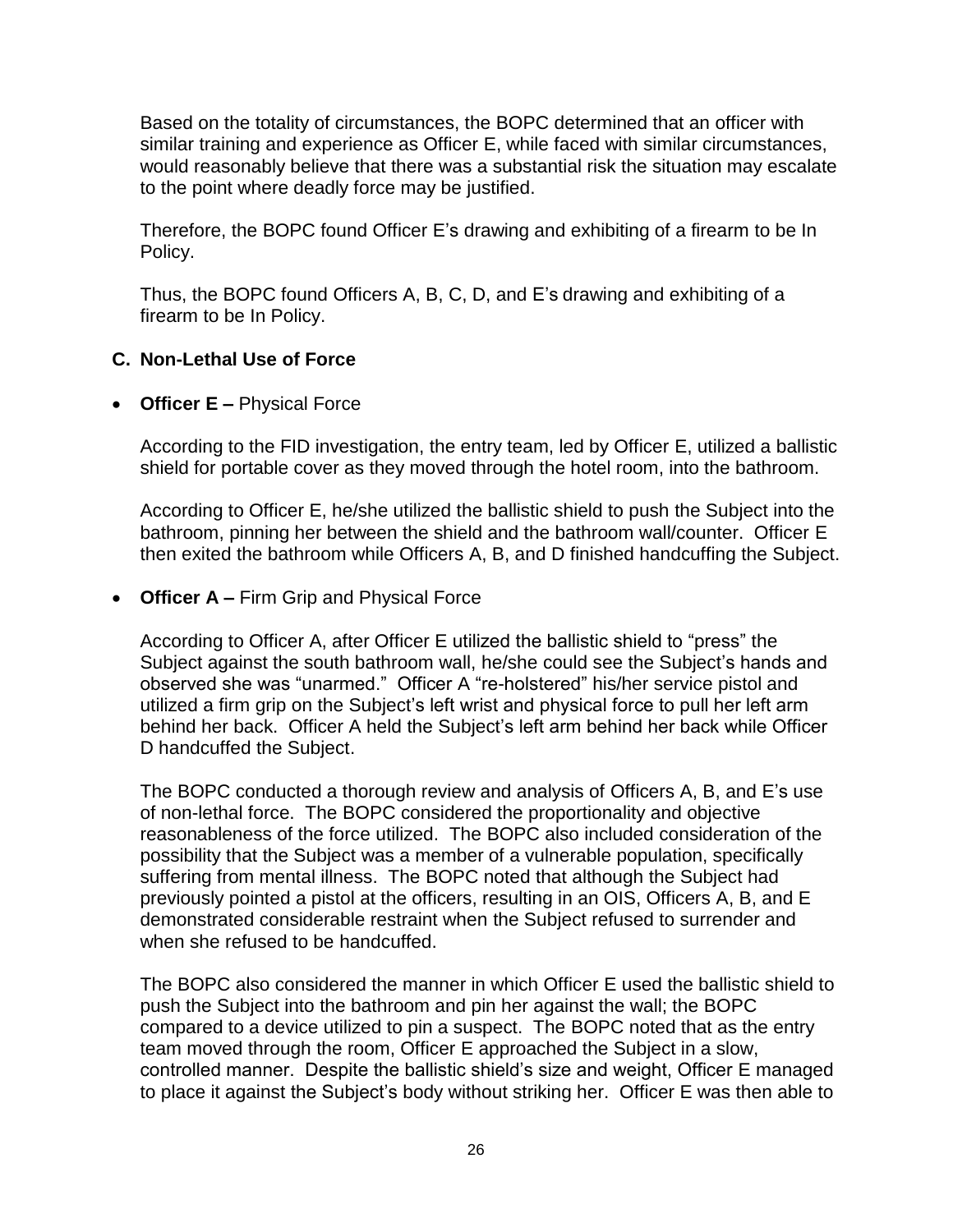Based on the totality of circumstances, the BOPC determined that an officer with similar training and experience as Officer E, while faced with similar circumstances, would reasonably believe that there was a substantial risk the situation may escalate to the point where deadly force may be justified.

Therefore, the BOPC found Officer E's drawing and exhibiting of a firearm to be In Policy.

Thus, the BOPC found Officers A, B, C, D, and E's drawing and exhibiting of a firearm to be In Policy.

## **C. Non-Lethal Use of Force**

• **Officer E –** Physical Force

According to the FID investigation, the entry team, led by Officer E, utilized a ballistic shield for portable cover as they moved through the hotel room, into the bathroom.

According to Officer E, he/she utilized the ballistic shield to push the Subject into the bathroom, pinning her between the shield and the bathroom wall/counter. Officer E then exited the bathroom while Officers A, B, and D finished handcuffing the Subject.

• **Officer A –** Firm Grip and Physical Force

According to Officer A, after Officer E utilized the ballistic shield to "press" the Subject against the south bathroom wall, he/she could see the Subject's hands and observed she was "unarmed." Officer A "re-holstered" his/her service pistol and utilized a firm grip on the Subject's left wrist and physical force to pull her left arm behind her back. Officer A held the Subject's left arm behind her back while Officer D handcuffed the Subject.

The BOPC conducted a thorough review and analysis of Officers A, B, and E's use of non-lethal force. The BOPC considered the proportionality and objective reasonableness of the force utilized. The BOPC also included consideration of the possibility that the Subject was a member of a vulnerable population, specifically suffering from mental illness. The BOPC noted that although the Subject had previously pointed a pistol at the officers, resulting in an OIS, Officers A, B, and E demonstrated considerable restraint when the Subject refused to surrender and when she refused to be handcuffed.

The BOPC also considered the manner in which Officer E used the ballistic shield to push the Subject into the bathroom and pin her against the wall; the BOPC compared to a device utilized to pin a suspect. The BOPC noted that as the entry team moved through the room, Officer E approached the Subject in a slow, controlled manner. Despite the ballistic shield's size and weight, Officer E managed to place it against the Subject's body without striking her. Officer E was then able to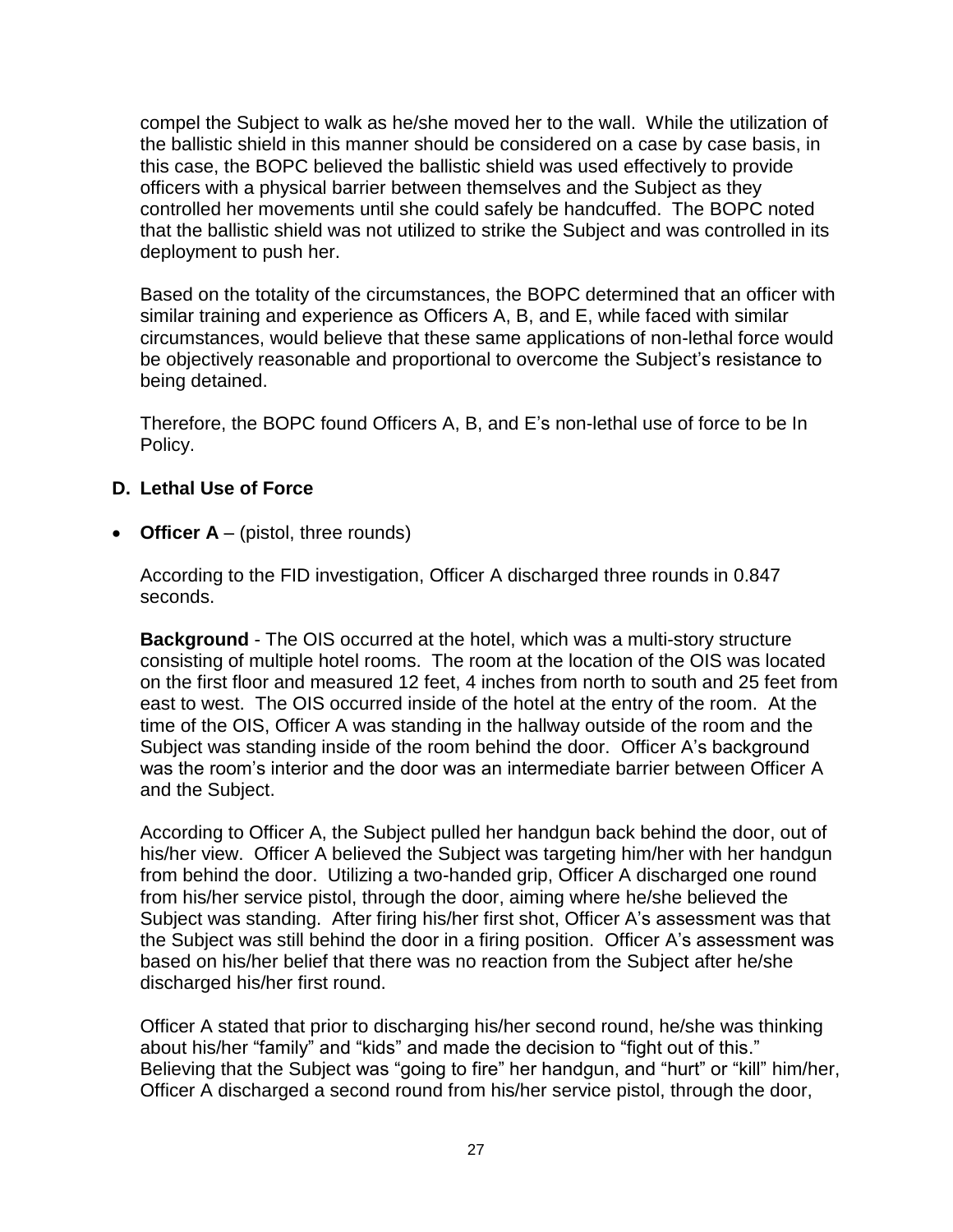compel the Subject to walk as he/she moved her to the wall. While the utilization of the ballistic shield in this manner should be considered on a case by case basis, in this case, the BOPC believed the ballistic shield was used effectively to provide officers with a physical barrier between themselves and the Subject as they controlled her movements until she could safely be handcuffed. The BOPC noted that the ballistic shield was not utilized to strike the Subject and was controlled in its deployment to push her.

Based on the totality of the circumstances, the BOPC determined that an officer with similar training and experience as Officers A, B, and E, while faced with similar circumstances, would believe that these same applications of non-lethal force would be objectively reasonable and proportional to overcome the Subject's resistance to being detained.

Therefore, the BOPC found Officers A, B, and E's non-lethal use of force to be In Policy.

## **D. Lethal Use of Force**

• **Officer A** – (pistol, three rounds)

According to the FID investigation, Officer A discharged three rounds in 0.847 seconds.

**Background** - The OIS occurred at the hotel, which was a multi-story structure consisting of multiple hotel rooms. The room at the location of the OIS was located on the first floor and measured 12 feet, 4 inches from north to south and 25 feet from east to west. The OIS occurred inside of the hotel at the entry of the room. At the time of the OIS, Officer A was standing in the hallway outside of the room and the Subject was standing inside of the room behind the door. Officer A's background was the room's interior and the door was an intermediate barrier between Officer A and the Subject.

According to Officer A, the Subject pulled her handgun back behind the door, out of his/her view. Officer A believed the Subject was targeting him/her with her handgun from behind the door. Utilizing a two-handed grip, Officer A discharged one round from his/her service pistol, through the door, aiming where he/she believed the Subject was standing. After firing his/her first shot, Officer A's assessment was that the Subject was still behind the door in a firing position. Officer A's assessment was based on his/her belief that there was no reaction from the Subject after he/she discharged his/her first round.

Officer A stated that prior to discharging his/her second round, he/she was thinking about his/her "family" and "kids" and made the decision to "fight out of this." Believing that the Subject was "going to fire" her handgun, and "hurt" or "kill" him/her, Officer A discharged a second round from his/her service pistol, through the door,